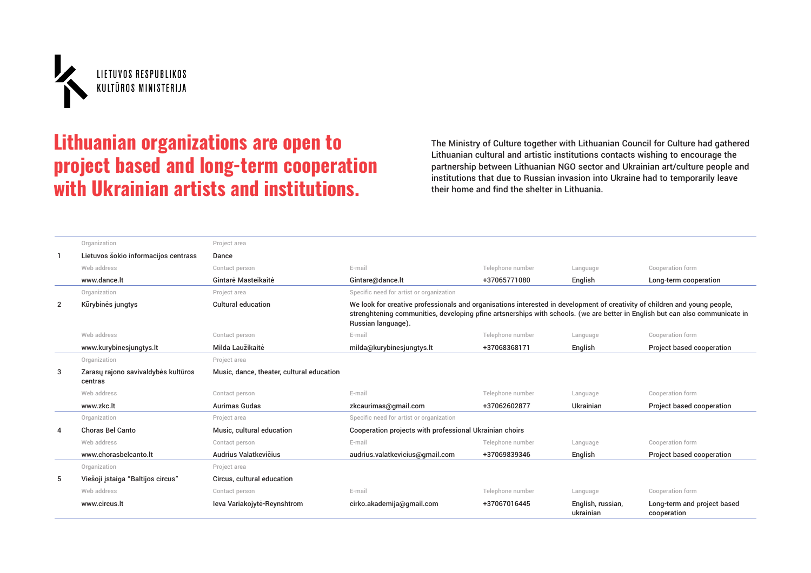

## Lithuanian organizations are open to project based and long-term cooperation with Ukrainian artists and institutions.

The Ministry of Culture together with Lithuanian Council for Culture had gathered Lithuanian cultural and artistic institutions contacts wishing to encourage the partnership between Lithuanian NGO sector and Ukrainian art/culture people and institutions that due to Russian invasion into Ukraine had to temporarily leave their home and find the shelter in Lithuania.

|                | Organization                                   | Project area                              |                                                                                                                                                                                                                                                                                  |                  |                                |                                            |  |
|----------------|------------------------------------------------|-------------------------------------------|----------------------------------------------------------------------------------------------------------------------------------------------------------------------------------------------------------------------------------------------------------------------------------|------------------|--------------------------------|--------------------------------------------|--|
|                | Lietuvos šokio informacijos centrass           | Dance                                     |                                                                                                                                                                                                                                                                                  |                  |                                |                                            |  |
|                | Web address                                    | Contact person                            | E-mail                                                                                                                                                                                                                                                                           | Telephone number | Language                       | Cooperation form                           |  |
|                | www.dance.lt                                   | Gintarė Masteikaitė                       | Gintare@dance.lt                                                                                                                                                                                                                                                                 | +37065771080     | English                        | Long-term cooperation                      |  |
|                | Organization                                   | Project area                              | Specific need for artist or organization                                                                                                                                                                                                                                         |                  |                                |                                            |  |
| $\overline{2}$ | Kūrybinės jungtys                              | <b>Cultural education</b>                 | We look for creative professionals and organisations interested in development of creativity of children and young people,<br>strenghtening communities, developing pfine artsnerships with schools. (we are better in English but can also communicate in<br>Russian language). |                  |                                |                                            |  |
|                | Web address                                    | Contact person                            | E-mail                                                                                                                                                                                                                                                                           | Telephone number | Language                       | Cooperation form                           |  |
|                | www.kurybinesjungtys.lt                        | Milda Laužikaitė                          | milda@kurybinesjungtys.lt                                                                                                                                                                                                                                                        | +37068368171     | English                        | Project based cooperation                  |  |
|                | Organization                                   | Project area                              |                                                                                                                                                                                                                                                                                  |                  |                                |                                            |  |
| 3              | Zarasų rajono savivaldybės kultūros<br>centras | Music, dance, theater, cultural education |                                                                                                                                                                                                                                                                                  |                  |                                |                                            |  |
|                | Web address                                    | Contact person                            | E-mail                                                                                                                                                                                                                                                                           | Telephone number | Language                       | Cooperation form                           |  |
|                | www.zkc.lt                                     | <b>Aurimas Gudas</b>                      | zkcaurimas@qmail.com                                                                                                                                                                                                                                                             | +37062602877     | <b>Ukrainian</b>               | Project based cooperation                  |  |
|                | Organization                                   | Project area                              | Specific need for artist or organization                                                                                                                                                                                                                                         |                  |                                |                                            |  |
| $\overline{4}$ | Choras Bel Canto                               | Music, cultural education                 | Cooperation projects with professional Ukrainian choirs                                                                                                                                                                                                                          |                  |                                |                                            |  |
|                | Web address                                    | Contact person                            | E-mail                                                                                                                                                                                                                                                                           | Telephone number | Language                       | Cooperation form                           |  |
|                | www.chorasbelcanto.lt                          | Audrius Valatkevičius                     | audrius.valatkevicius@gmail.com                                                                                                                                                                                                                                                  | +37069839346     | English                        | Project based cooperation                  |  |
|                | Organization                                   | Project area                              |                                                                                                                                                                                                                                                                                  |                  |                                |                                            |  |
| 5              | Viešoji įstaiga "Baltijos circus"              | Circus, cultural education                |                                                                                                                                                                                                                                                                                  |                  |                                |                                            |  |
|                | Web address                                    | Contact person                            | E-mail                                                                                                                                                                                                                                                                           | Telephone number | Language                       | Cooperation form                           |  |
|                | www.circus.lt                                  | leva Variakojytė-Reynshtrom               | cirko.akademija@qmail.com                                                                                                                                                                                                                                                        | +37067016445     | English, russian,<br>ukrainian | Long-term and project based<br>cooperation |  |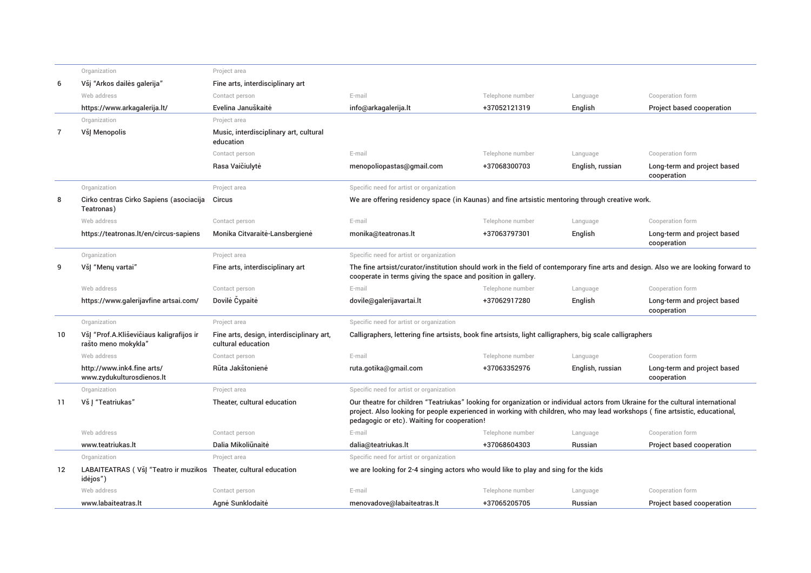|    | Organization                                                                 | Project area                                                    |                                                                                                                                                                                                                                                                                                               |                  |                  |                                            |
|----|------------------------------------------------------------------------------|-----------------------------------------------------------------|---------------------------------------------------------------------------------------------------------------------------------------------------------------------------------------------------------------------------------------------------------------------------------------------------------------|------------------|------------------|--------------------------------------------|
| 6  | Všį "Arkos dailės galerija"                                                  | Fine arts, interdisciplinary art                                |                                                                                                                                                                                                                                                                                                               |                  |                  |                                            |
|    | Web address                                                                  | Contact person                                                  | E-mail                                                                                                                                                                                                                                                                                                        | Telephone number | Language         | Cooperation form                           |
|    | https://www.arkagalerija.lt/                                                 | Evelina Januškaitė                                              | info@arkagalerija.lt                                                                                                                                                                                                                                                                                          | +37052121319     | English          | Project based cooperation                  |
|    | Organization                                                                 | Project area                                                    |                                                                                                                                                                                                                                                                                                               |                  |                  |                                            |
| 7  | VšJ Menopolis                                                                | Music, interdisciplinary art, cultural<br>education             |                                                                                                                                                                                                                                                                                                               |                  |                  |                                            |
|    |                                                                              | Contact person                                                  | E-mail                                                                                                                                                                                                                                                                                                        | Telephone number | Language         | Cooperation form                           |
|    |                                                                              | Rasa Vaičiulytė                                                 | menopoliopastas@qmail.com                                                                                                                                                                                                                                                                                     | +37068300703     | English, russian | Long-term and project based<br>cooperation |
|    | Organization                                                                 | Project area                                                    | Specific need for artist or organization                                                                                                                                                                                                                                                                      |                  |                  |                                            |
| 8  | Cirko centras Cirko Sapiens (asociacija<br>Teatronas)                        | Circus                                                          | We are offering residency space (in Kaunas) and fine artsistic mentoring through creative work.                                                                                                                                                                                                               |                  |                  |                                            |
|    | Web address                                                                  | Contact person                                                  | E-mail                                                                                                                                                                                                                                                                                                        | Telephone number | Language         | Cooperation form                           |
|    | https://teatronas.lt/en/circus-sapiens                                       | Monika Citvaraitė-Lansbergienė                                  | monika@teatronas.lt                                                                                                                                                                                                                                                                                           | +37063797301     | English          | Long-term and project based<br>cooperation |
|    | Organization                                                                 | Project area                                                    | Specific need for artist or organization                                                                                                                                                                                                                                                                      |                  |                  |                                            |
| 9  | VšJ "Menų vartai"                                                            | Fine arts, interdisciplinary art                                | The fine artsist/curator/institution should work in the field of contemporary fine arts and design. Also we are looking forward to<br>cooperate in terms giving the space and position in gallery.                                                                                                            |                  |                  |                                            |
|    | Web address                                                                  | Contact person                                                  | E-mail                                                                                                                                                                                                                                                                                                        | Telephone number | Language         | Cooperation form                           |
|    | https://www.qalerijavfine artsai.com/                                        | Dovile Cypaite                                                  | dovile@galerijavartai.lt                                                                                                                                                                                                                                                                                      | +37062917280     | English          | Long-term and project based<br>cooperation |
|    | Organization                                                                 | Project area                                                    | Specific need for artist or organization                                                                                                                                                                                                                                                                      |                  |                  |                                            |
| 10 | VšJ "Prof.A.Kliševičiaus kaligrafijos ir<br>rašto meno mokykla'              | Fine arts, design, interdisciplinary art,<br>cultural education | Calligraphers, lettering fine artsists, book fine artsists, light calligraphers, big scale calligraphers                                                                                                                                                                                                      |                  |                  |                                            |
|    | Web address                                                                  | Contact person                                                  | E-mail                                                                                                                                                                                                                                                                                                        | Telephone number | Language         | Cooperation form                           |
|    | http://www.ink4.fine arts/<br>www.zydukulturosdienos.lt                      | Rūta Jakštonienė                                                | ruta.gotika@gmail.com                                                                                                                                                                                                                                                                                         | +37063352976     | English, russian | Long-term and project based<br>cooperation |
|    | Organization                                                                 | Project area                                                    | Specific need for artist or organization                                                                                                                                                                                                                                                                      |                  |                  |                                            |
| 11 | Vš J "Teatriukas"                                                            | Theater, cultural education                                     | Our theatre for children "Teatriukas" looking for organization or individual actors from Ukraine for the cultural international<br>project. Also looking for people experienced in working with children, who may lead workshops (fine artsistic, educational,<br>pedagogic or etc). Waiting for cooperation! |                  |                  |                                            |
|    | Web address                                                                  | Contact person                                                  | E-mail                                                                                                                                                                                                                                                                                                        | Telephone number | Language         | Cooperation form                           |
|    | www.teatriukas.lt                                                            | Dalia Mikoliūnaitė                                              | dalia@teatriukas.lt                                                                                                                                                                                                                                                                                           | +37068604303     | Russian          | Project based cooperation                  |
|    | Organization                                                                 | Project area                                                    | Specific need for artist or organization                                                                                                                                                                                                                                                                      |                  |                  |                                            |
| 12 | LABAITEATRAS (VšJ "Teatro ir muzikos Theater, cultural education<br>idėjos") |                                                                 | we are looking for 2-4 singing actors who would like to play and sing for the kids                                                                                                                                                                                                                            |                  |                  |                                            |
|    | Web address                                                                  | Contact person                                                  | E-mail                                                                                                                                                                                                                                                                                                        | Telephone number | Language         | Cooperation form                           |
|    | www.labaiteatras.lt                                                          | Agnė Sunklodaitė                                                | menovadove@labaiteatras.lt                                                                                                                                                                                                                                                                                    | +37065205705     | Russian          | Project based cooperation                  |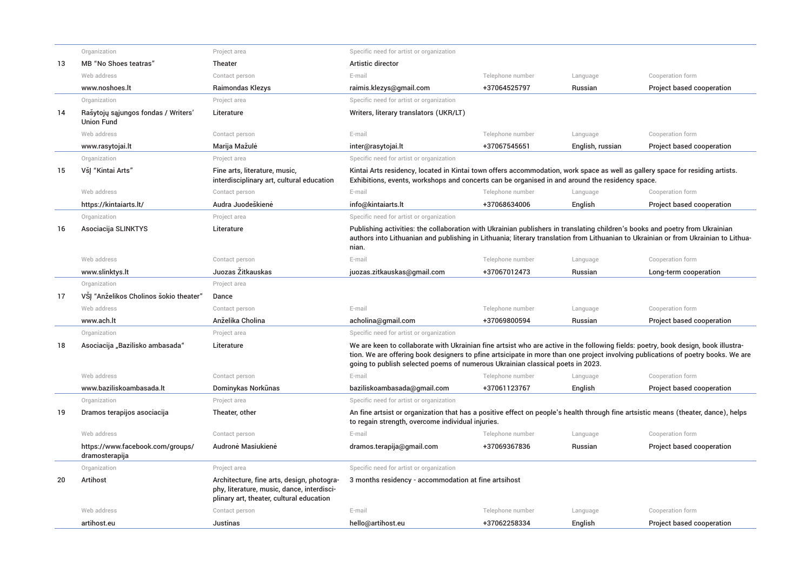|    | Organization                                             | Project area                                                                                                                         | Specific need for artist or organization                                                                                                                                                                                                                                                                                                                  |                  |                  |                           |
|----|----------------------------------------------------------|--------------------------------------------------------------------------------------------------------------------------------------|-----------------------------------------------------------------------------------------------------------------------------------------------------------------------------------------------------------------------------------------------------------------------------------------------------------------------------------------------------------|------------------|------------------|---------------------------|
| 13 | MB "No Shoes teatras"                                    | Theater                                                                                                                              | Artistic director                                                                                                                                                                                                                                                                                                                                         |                  |                  |                           |
|    | Web address                                              | Contact person                                                                                                                       | E-mail                                                                                                                                                                                                                                                                                                                                                    | Telephone number | Language         | Cooperation form          |
|    | www.noshoes.lt                                           | <b>Raimondas Klezys</b>                                                                                                              | raimis.klezys@gmail.com                                                                                                                                                                                                                                                                                                                                   | +37064525797     | Russian          | Project based cooperation |
|    | Organization                                             | Project area                                                                                                                         | Specific need for artist or organization                                                                                                                                                                                                                                                                                                                  |                  |                  |                           |
| 14 | Rašytojų sąjungos fondas / Writers'<br><b>Union Fund</b> | Literature                                                                                                                           | Writers, literary translators (UKR/LT)                                                                                                                                                                                                                                                                                                                    |                  |                  |                           |
|    | Web address                                              | Contact person                                                                                                                       | E-mail                                                                                                                                                                                                                                                                                                                                                    | Telephone number | Language         | Cooperation form          |
|    | www.rasytojai.lt                                         | Marija Mažulė                                                                                                                        | inter@rasytojai.lt                                                                                                                                                                                                                                                                                                                                        | +37067545651     | English, russian | Project based cooperation |
|    | Organization                                             | Project area                                                                                                                         | Specific need for artist or organization                                                                                                                                                                                                                                                                                                                  |                  |                  |                           |
| 15 | VšJ "Kintai Arts"                                        | Fine arts, literature, music,<br>interdisciplinary art, cultural education                                                           | Kintai Arts residency, located in Kintai town offers accommodation, work space as well as gallery space for residing artists.<br>Exhibitions, events, workshops and concerts can be organised in and around the residency space.                                                                                                                          |                  |                  |                           |
|    | Web address                                              | Contact person                                                                                                                       | E-mail                                                                                                                                                                                                                                                                                                                                                    | Telephone number | Language         | Cooperation form          |
|    | https://kintaiarts.lt/                                   | Audra Juodeškienė                                                                                                                    | info@kintaiarts.lt                                                                                                                                                                                                                                                                                                                                        | +37068634006     | English          | Project based cooperation |
|    | Organization                                             | Project area                                                                                                                         | Specific need for artist or organization                                                                                                                                                                                                                                                                                                                  |                  |                  |                           |
| 16 | Asociacija SLINKTYS                                      | Literature                                                                                                                           | Publishing activities: the collaboration with Ukrainian publishers in translating children's books and poetry from Ukrainian<br>authors into Lithuanian and publishing in Lithuania; literary translation from Lithuanian to Ukrainian or from Ukrainian to Lithua-<br>nian.                                                                              |                  |                  |                           |
|    | Web address                                              | Contact person                                                                                                                       | E-mail                                                                                                                                                                                                                                                                                                                                                    | Telephone number | Language         | Cooperation form          |
|    | www.slinktys.lt                                          | Juozas Žitkauskas                                                                                                                    | juozas.zitkauskas@gmail.com                                                                                                                                                                                                                                                                                                                               | +37067012473     | Russian          | Long-term cooperation     |
|    | Organization                                             | Project area                                                                                                                         |                                                                                                                                                                                                                                                                                                                                                           |                  |                  |                           |
| 17 | VSJ "Anželikos Cholinos šokio theater"                   | Dance                                                                                                                                |                                                                                                                                                                                                                                                                                                                                                           |                  |                  |                           |
|    | Web address                                              | Contact person                                                                                                                       | E-mail                                                                                                                                                                                                                                                                                                                                                    | Telephone number | Language         | Cooperation form          |
|    | www.ach.lt                                               | Anželika Cholina                                                                                                                     | acholina@gmail.com                                                                                                                                                                                                                                                                                                                                        | +37069800594     | Russian          | Project based cooperation |
|    | Organization                                             | Project area                                                                                                                         | Specific need for artist or organization                                                                                                                                                                                                                                                                                                                  |                  |                  |                           |
| 18 | Asociacija "Bazilisko ambasada"                          | Literature                                                                                                                           | We are keen to collaborate with Ukrainian fine artsist who are active in the following fields: poetry, book design, book illustra-<br>tion. We are offering book designers to pfine artsicipate in more than one project involving publications of poetry books. We are<br>going to publish selected poems of numerous Ukrainian classical poets in 2023. |                  |                  |                           |
|    | Web address                                              | Contact person                                                                                                                       | E-mail                                                                                                                                                                                                                                                                                                                                                    | Telephone number | Language         | Cooperation form          |
|    | www.baziliskoambasada.lt                                 | Dominykas Norkūnas                                                                                                                   | baziliskoambasada@qmail.com                                                                                                                                                                                                                                                                                                                               | +37061123767     | English          | Project based cooperation |
|    | Organization                                             | Project area                                                                                                                         | Specific need for artist or organization                                                                                                                                                                                                                                                                                                                  |                  |                  |                           |
| 19 | Dramos terapijos asociacija                              | Theater, other                                                                                                                       | An fine artsist or organization that has a positive effect on people's health through fine artsistic means (theater, dance), helps<br>to regain strength, overcome individual injuries.                                                                                                                                                                   |                  |                  |                           |
|    | Web address                                              | Contact person                                                                                                                       | E-mail                                                                                                                                                                                                                                                                                                                                                    | Telephone number | Language         | Cooperation form          |
|    | https://www.facebook.com/groups/<br>dramosterapija       | Audronė Masiukienė                                                                                                                   | dramos.terapija@gmail.com                                                                                                                                                                                                                                                                                                                                 | +37069367836     | Russian          | Project based cooperation |
|    | Organization                                             | Project area                                                                                                                         | Specific need for artist or organization                                                                                                                                                                                                                                                                                                                  |                  |                  |                           |
| 20 | Artihost                                                 | Architecture, fine arts, design, photogra-<br>phy, literature, music, dance, interdisci-<br>plinary art, theater, cultural education | 3 months residency - accommodation at fine artsihost                                                                                                                                                                                                                                                                                                      |                  |                  |                           |
|    | Web address                                              | Contact person                                                                                                                       | E-mail                                                                                                                                                                                                                                                                                                                                                    | Telephone number | Language         | Cooperation form          |
|    | artihost.eu                                              | Justinas                                                                                                                             | hello@artihost.eu                                                                                                                                                                                                                                                                                                                                         | +37062258334     | English          | Project based cooperation |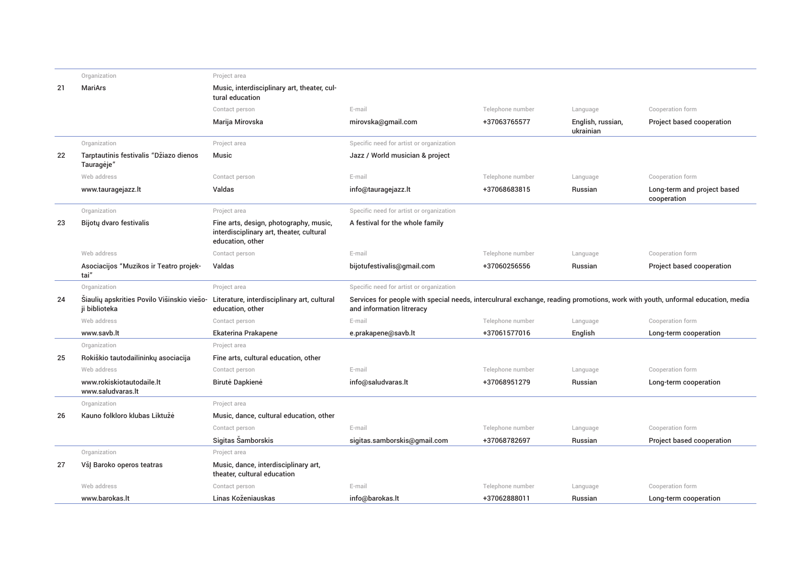|    | Organization                                                | Project area                                                                                           |                                                                                                                                                             |                  |                                |                                            |
|----|-------------------------------------------------------------|--------------------------------------------------------------------------------------------------------|-------------------------------------------------------------------------------------------------------------------------------------------------------------|------------------|--------------------------------|--------------------------------------------|
| 21 | <b>MariArs</b>                                              | Music, interdisciplinary art, theater, cul-<br>tural education                                         |                                                                                                                                                             |                  |                                |                                            |
|    |                                                             | Contact person                                                                                         | E-mail                                                                                                                                                      | Telephone number | Language                       | Cooperation form                           |
|    |                                                             | Marija Mirovska                                                                                        | mirovska@qmail.com                                                                                                                                          | +37063765577     | English, russian,<br>ukrainian | Project based cooperation                  |
|    | Organization                                                | Project area                                                                                           | Specific need for artist or organization                                                                                                                    |                  |                                |                                            |
| 22 | Tarptautinis festivalis "Džiazo dienos<br>Tauragėje"        | <b>Music</b>                                                                                           | Jazz / World musician & project                                                                                                                             |                  |                                |                                            |
|    | Web address                                                 | Contact person                                                                                         | E-mail                                                                                                                                                      | Telephone number | Language                       | Cooperation form                           |
|    | www.tauragejazz.lt                                          | Valdas                                                                                                 | info@tauragejazz.lt                                                                                                                                         | +37068683815     | Russian                        | Long-term and project based<br>cooperation |
|    | Organization                                                | Project area                                                                                           | Specific need for artist or organization                                                                                                                    |                  |                                |                                            |
| 23 | Bijotų dvaro festivalis                                     | Fine arts, design, photography, music,<br>interdisciplinary art, theater, cultural<br>education, other | A festival for the whole family                                                                                                                             |                  |                                |                                            |
|    | Web address                                                 | Contact person                                                                                         | E-mail                                                                                                                                                      | Telephone number | Language                       | Cooperation form                           |
|    | Asociacijos "Muzikos ir Teatro projek-<br>tai"              | Valdas                                                                                                 | bijotufestivalis@gmail.com                                                                                                                                  | +37060256556     | Russian                        | Project based cooperation                  |
|    | Organization                                                | Project area                                                                                           | Specific need for artist or organization                                                                                                                    |                  |                                |                                            |
| 24 | Šiaulių apskrities Povilo Višinskio viešo-<br>ji biblioteka | Literature, interdisciplinary art, cultural<br>education, other                                        | Services for people with special needs, interculrural exchange, reading promotions, work with youth, unformal education, media<br>and information litreracy |                  |                                |                                            |
|    | Web address                                                 | Contact person                                                                                         | E-mail                                                                                                                                                      | Telephone number | Language                       | Cooperation form                           |
|    | www.savb.lt                                                 | Ekaterina Prakapene                                                                                    | e.prakapene@savb.lt                                                                                                                                         | +37061577016     | English                        | Long-term cooperation                      |
|    | Organization                                                | Project area                                                                                           |                                                                                                                                                             |                  |                                |                                            |
| 25 | Rokiškio tautodailininkų asociacija                         | Fine arts, cultural education, other                                                                   |                                                                                                                                                             |                  |                                |                                            |
|    | Web address                                                 | Contact person                                                                                         | E-mail                                                                                                                                                      | Telephone number | Language                       | Cooperation form                           |
|    | www.rokiskiotautodaile.lt<br>www.saludvaras.lt              | Birutė Dapkienė                                                                                        | info@saludvaras.lt                                                                                                                                          | +37068951279     | Russian                        | Long-term cooperation                      |
|    | Organization                                                | Project area                                                                                           |                                                                                                                                                             |                  |                                |                                            |
| 26 | Kauno folkloro klubas Liktužė                               | Music, dance, cultural education, other                                                                |                                                                                                                                                             |                  |                                |                                            |
|    |                                                             | Contact person                                                                                         | E-mail                                                                                                                                                      | Telephone number | Language                       | Cooperation form                           |
|    |                                                             | Sigitas Šamborskis                                                                                     | sigitas.samborskis@gmail.com                                                                                                                                | +37068782697     | Russian                        | Project based cooperation                  |
|    | Organization                                                | Project area                                                                                           |                                                                                                                                                             |                  |                                |                                            |
| 27 | VšJ Baroko operos teatras                                   | Music, dance, interdisciplinary art,<br>theater, cultural education                                    |                                                                                                                                                             |                  |                                |                                            |
|    | Web address                                                 | Contact person                                                                                         | E-mail                                                                                                                                                      | Telephone number | Language                       | Cooperation form                           |
|    | www.barokas.lt                                              | Linas Koženiauskas                                                                                     | info@barokas.lt                                                                                                                                             | +37062888011     | Russian                        | Long-term cooperation                      |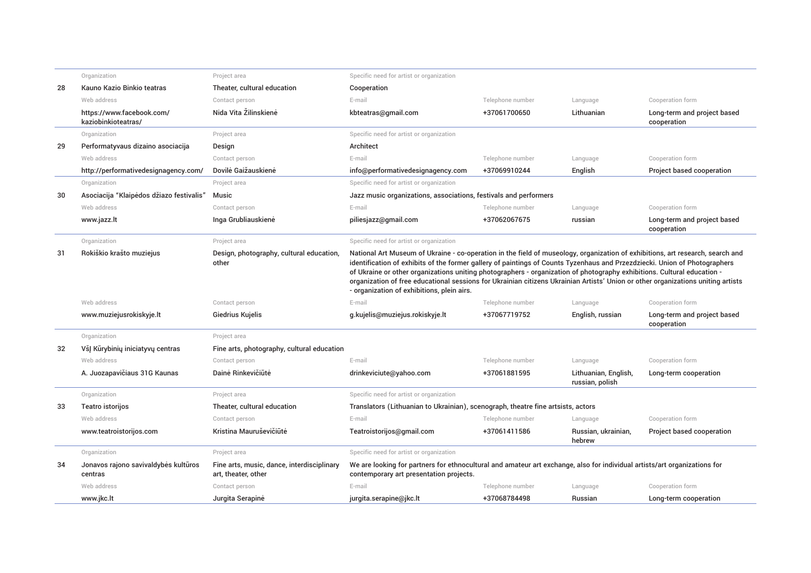|    | Organization                                     | Project area                                                      | Specific need for artist or organization                                                                                                                                                                                                                                                                                                                                                                                                                                                                                                                                  |                  |                                         |                                            |  |
|----|--------------------------------------------------|-------------------------------------------------------------------|---------------------------------------------------------------------------------------------------------------------------------------------------------------------------------------------------------------------------------------------------------------------------------------------------------------------------------------------------------------------------------------------------------------------------------------------------------------------------------------------------------------------------------------------------------------------------|------------------|-----------------------------------------|--------------------------------------------|--|
| 28 | Kauno Kazio Binkio teatras                       | Theater, cultural education                                       | Cooperation                                                                                                                                                                                                                                                                                                                                                                                                                                                                                                                                                               |                  |                                         |                                            |  |
|    | Web address                                      | Contact person                                                    | E-mail                                                                                                                                                                                                                                                                                                                                                                                                                                                                                                                                                                    | Telephone number | Language                                | Cooperation form                           |  |
|    | https://www.facebook.com/<br>kaziobinkioteatras/ | Nida Vita Žilinskienė                                             | kbteatras@gmail.com                                                                                                                                                                                                                                                                                                                                                                                                                                                                                                                                                       | +37061700650     | Lithuanian                              | Long-term and project based<br>cooperation |  |
|    | Organization                                     | Project area                                                      | Specific need for artist or organization                                                                                                                                                                                                                                                                                                                                                                                                                                                                                                                                  |                  |                                         |                                            |  |
| 29 | Performatyvaus dizaino asociacija                | Design                                                            | Architect                                                                                                                                                                                                                                                                                                                                                                                                                                                                                                                                                                 |                  |                                         |                                            |  |
|    | Web address                                      | Contact person                                                    | E-mail                                                                                                                                                                                                                                                                                                                                                                                                                                                                                                                                                                    | Telephone number | Language                                | Cooperation form                           |  |
|    | http://performativedesignagency.com/             | Dovilė Gaižauskienė                                               | info@performativedesignagency.com                                                                                                                                                                                                                                                                                                                                                                                                                                                                                                                                         | +37069910244     | English                                 | Project based cooperation                  |  |
|    | Organization                                     | Project area                                                      | Specific need for artist or organization                                                                                                                                                                                                                                                                                                                                                                                                                                                                                                                                  |                  |                                         |                                            |  |
| 30 | Asociacija "Klaipėdos džiazo festivalis"         | Music                                                             | Jazz music organizations, associations, festivals and performers                                                                                                                                                                                                                                                                                                                                                                                                                                                                                                          |                  |                                         |                                            |  |
|    | Web address                                      | Contact person                                                    | E-mail                                                                                                                                                                                                                                                                                                                                                                                                                                                                                                                                                                    | Telephone number | Language                                | Cooperation form                           |  |
|    | www.jazz.lt                                      | Inga Grubliauskienė                                               | piliesjazz@qmail.com                                                                                                                                                                                                                                                                                                                                                                                                                                                                                                                                                      | +37062067675     | russian                                 | Long-term and project based<br>cooperation |  |
|    | Organization                                     | Project area                                                      | Specific need for artist or organization                                                                                                                                                                                                                                                                                                                                                                                                                                                                                                                                  |                  |                                         |                                            |  |
| 31 | Rokiškio krašto muziejus                         | Design, photography, cultural education,<br>other                 | National Art Museum of Ukraine - co-operation in the field of museology, organization of exhibitions, art research, search and<br>identification of exhibits of the former gallery of paintings of Counts Tyzenhaus and Przezdziecki. Union of Photographers<br>of Ukraine or other organizations uniting photographers - organization of photography exhibitions. Cultural education -<br>organization of free educational sessions for Ukrainian citizens Ukrainian Artists' Union or other organizations uniting artists<br>- organization of exhibitions, plein airs. |                  |                                         |                                            |  |
|    | Web address                                      | Contact person                                                    | E-mail                                                                                                                                                                                                                                                                                                                                                                                                                                                                                                                                                                    | Telephone number | Language                                | Cooperation form                           |  |
|    | www.muziejusrokiskyje.lt                         | Giedrius Kujelis                                                  | g.kujelis@muziejus.rokiskyje.lt                                                                                                                                                                                                                                                                                                                                                                                                                                                                                                                                           | +37067719752     | English, russian                        | Long-term and project based<br>cooperation |  |
|    | Organization                                     | Project area                                                      |                                                                                                                                                                                                                                                                                                                                                                                                                                                                                                                                                                           |                  |                                         |                                            |  |
| 32 | VšJ Kūrybinių iniciatyvų centras                 | Fine arts, photography, cultural education                        |                                                                                                                                                                                                                                                                                                                                                                                                                                                                                                                                                                           |                  |                                         |                                            |  |
|    | Web address                                      | Contact person                                                    | E-mail                                                                                                                                                                                                                                                                                                                                                                                                                                                                                                                                                                    | Telephone number | Language                                | Cooperation form                           |  |
|    | A. Juozapavičiaus 31G Kaunas                     | Dainė Rinkevičiūtė                                                | drinkeviciute@yahoo.com                                                                                                                                                                                                                                                                                                                                                                                                                                                                                                                                                   | +37061881595     | Lithuanian, English,<br>russian, polish | Long-term cooperation                      |  |
|    | Organization                                     | Project area                                                      | Specific need for artist or organization                                                                                                                                                                                                                                                                                                                                                                                                                                                                                                                                  |                  |                                         |                                            |  |
| 33 | Teatro istorijos                                 | Theater, cultural education                                       | Translators (Lithuanian to Ukrainian), scenograph, theatre fine artsists, actors                                                                                                                                                                                                                                                                                                                                                                                                                                                                                          |                  |                                         |                                            |  |
|    | Web address                                      | Contact person                                                    | E-mail                                                                                                                                                                                                                                                                                                                                                                                                                                                                                                                                                                    | Telephone number | Language                                | Cooperation form                           |  |
|    | www.teatroistorijos.com                          | Kristina Mauruševičiūtė                                           | Teatroistorijos@gmail.com                                                                                                                                                                                                                                                                                                                                                                                                                                                                                                                                                 | +37061411586     | Russian, ukrainian,<br>hebrew           | Project based cooperation                  |  |
|    | Organization                                     | Project area                                                      | Specific need for artist or organization                                                                                                                                                                                                                                                                                                                                                                                                                                                                                                                                  |                  |                                         |                                            |  |
| 34 | Jonavos rajono savivaldybės kultūros<br>centras  | Fine arts, music, dance, interdisciplinary<br>art, theater, other | We are looking for partners for ethnocultural and amateur art exchange, also for individual artists/art organizations for<br>contemporary art presentation projects.                                                                                                                                                                                                                                                                                                                                                                                                      |                  |                                         |                                            |  |
|    | Web address                                      | Contact person                                                    | E-mail                                                                                                                                                                                                                                                                                                                                                                                                                                                                                                                                                                    | Telephone number | Language                                | Cooperation form                           |  |
|    | www.jkc.lt                                       | Jurgita Serapine                                                  | jurgita.serapine@jkc.lt                                                                                                                                                                                                                                                                                                                                                                                                                                                                                                                                                   | +37068784498     | Russian                                 | Long-term cooperation                      |  |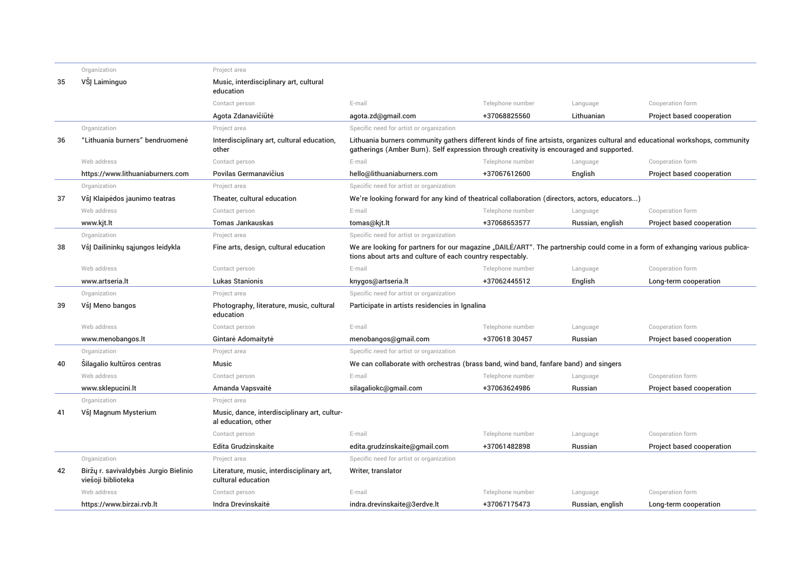|    | Organization                                                | Project area                                                        |                                                                                                                                                                                                                           |                  |                  |                           |
|----|-------------------------------------------------------------|---------------------------------------------------------------------|---------------------------------------------------------------------------------------------------------------------------------------------------------------------------------------------------------------------------|------------------|------------------|---------------------------|
| 35 | VŠJ Laiminguo                                               | Music, interdisciplinary art, cultural<br>education                 |                                                                                                                                                                                                                           |                  |                  |                           |
|    |                                                             | Contact person                                                      | E-mail                                                                                                                                                                                                                    | Telephone number | Language         | Cooperation form          |
|    |                                                             | Agota Zdanavičiūtė                                                  | agota.zd@gmail.com                                                                                                                                                                                                        | +37068825560     | Lithuanian       | Project based cooperation |
|    | Organization                                                | Project area                                                        | Specific need for artist or organization                                                                                                                                                                                  |                  |                  |                           |
| 36 | "Lithuania burners" bendruomenė                             | Interdisciplinary art, cultural education,<br>other                 | Lithuania burners community gathers different kinds of fine artsists, organizes cultural and educational workshops, community<br>gatherings (Amber Burn). Self expression through creativity is encouraged and supported. |                  |                  |                           |
|    | Web address                                                 | Contact person                                                      | E-mail                                                                                                                                                                                                                    | Telephone number | Language         | Cooperation form          |
|    | https://www.lithuaniaburners.com                            | Povilas Germanavičius                                               | hello@lithuaniaburners.com                                                                                                                                                                                                | +37067612600     | English          | Project based cooperation |
|    | Organization                                                | Project area                                                        | Specific need for artist or organization                                                                                                                                                                                  |                  |                  |                           |
| 37 | VšJ Klaipėdos jaunimo teatras                               | Theater, cultural education                                         | We're looking forward for any kind of theatrical collaboration (directors, actors, educators)                                                                                                                             |                  |                  |                           |
|    | Web address                                                 | Contact person                                                      | E-mail                                                                                                                                                                                                                    | Telephone number | Language         | Cooperation form          |
|    | www.kjt.lt                                                  | <b>Tomas Jankauskas</b>                                             | tomas@kjt.lt                                                                                                                                                                                                              | +37068653577     | Russian, english | Project based cooperation |
|    | Organization                                                | Project area                                                        | Specific need for artist or organization                                                                                                                                                                                  |                  |                  |                           |
| 38 | VšJ Dailininkų sąjungos leidykla                            | Fine arts, design, cultural education                               | We are looking for partners for our magazine "DAILE/ART". The partnership could come in a form of exhanging various publica-<br>tions about arts and culture of each country respectably.                                 |                  |                  |                           |
|    | Web address                                                 | Contact person                                                      | E-mail                                                                                                                                                                                                                    | Telephone number | Language         | Cooperation form          |
|    | www.artseria.lt                                             | <b>Lukas Stanionis</b>                                              | knygos@artseria.lt                                                                                                                                                                                                        | +37062445512     | English          | Long-term cooperation     |
|    | Organization                                                | Project area                                                        | Specific need for artist or organization                                                                                                                                                                                  |                  |                  |                           |
| 39 | VšI Meno bangos                                             | Photography, literature, music, cultural<br>education               | Participate in artists residencies in Ignalina                                                                                                                                                                            |                  |                  |                           |
|    | Web address                                                 | Contact person                                                      | E-mail                                                                                                                                                                                                                    | Telephone number | Language         | Cooperation form          |
|    | www.menobangos.lt                                           | Gintarė Adomaitytė                                                  | menobangos@gmail.com                                                                                                                                                                                                      | +370618 30457    | Russian          | Project based cooperation |
|    | Organization                                                | Project area                                                        | Specific need for artist or organization                                                                                                                                                                                  |                  |                  |                           |
| 40 | Silagalio kultūros centras                                  | <b>Music</b>                                                        | We can collaborate with orchestras (brass band, wind band, fanfare band) and singers                                                                                                                                      |                  |                  |                           |
|    | Web address                                                 | Contact person                                                      | E-mail                                                                                                                                                                                                                    | Telephone number | Language         | Cooperation form          |
|    | www.sklepucini.lt                                           | Amanda Vapsvaitė                                                    | silagaliokc@gmail.com                                                                                                                                                                                                     | +37063624986     | Russian          | Project based cooperation |
|    | Organization                                                | Project area                                                        |                                                                                                                                                                                                                           |                  |                  |                           |
| 41 | VšJ Magnum Mysterium                                        | Music, dance, interdisciplinary art, cultur-<br>al education, other |                                                                                                                                                                                                                           |                  |                  |                           |
|    |                                                             | Contact person                                                      | E-mail                                                                                                                                                                                                                    | Telephone number | Language         | Cooperation form          |
|    |                                                             | Edita Grudzinskaite                                                 | edita.grudzinskaite@gmail.com                                                                                                                                                                                             | +37061482898     | Russian          | Project based cooperation |
|    | Organization                                                | Project area                                                        | Specific need for artist or organization                                                                                                                                                                                  |                  |                  |                           |
| 42 | Biržų r. savivaldybės Jurgio Bielinio<br>viešoji biblioteka | Literature, music, interdisciplinary art,<br>cultural education     | Writer, translator                                                                                                                                                                                                        |                  |                  |                           |
|    | Web address                                                 | Contact person                                                      | E-mail                                                                                                                                                                                                                    | Telephone number | Language         | Cooperation form          |
|    | https://www.birzai.rvb.lt                                   | Indra Drevinskaitė                                                  | indra.drevinskaite@3erdve.lt                                                                                                                                                                                              | +37067175473     | Russian, english | Long-term cooperation     |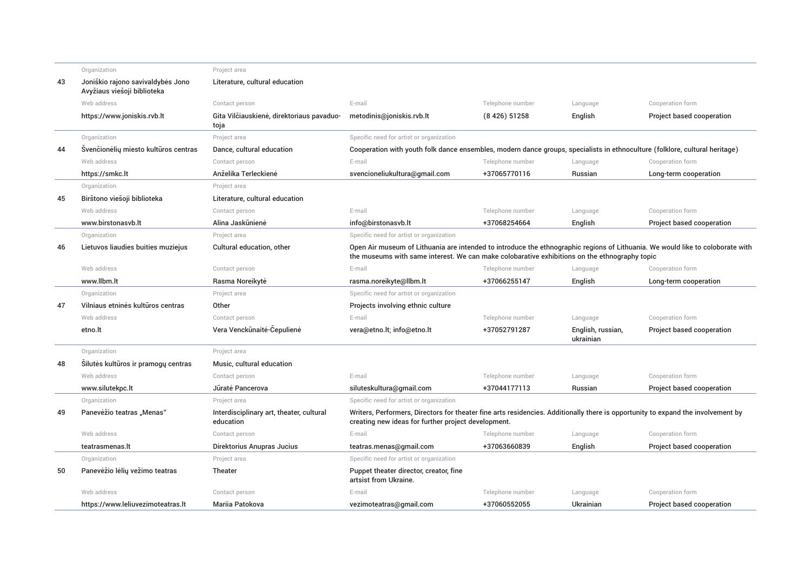|    | Organization                                                     | Project area                                          |                                                                                                                                                                                                                                 |                  |                                |                           |
|----|------------------------------------------------------------------|-------------------------------------------------------|---------------------------------------------------------------------------------------------------------------------------------------------------------------------------------------------------------------------------------|------------------|--------------------------------|---------------------------|
| 43 | Joniškio rajono savivaldybės Jono<br>Avyžiaus viešoji biblioteka | Literature, cultural education                        |                                                                                                                                                                                                                                 |                  |                                |                           |
|    | Web address                                                      | Contact person                                        | E-mail                                                                                                                                                                                                                          | Telephone number | Language                       | Cooperation form          |
|    | https://www.joniskis.rvb.lt                                      | Gita Vilčiauskienė, direktoriaus pavaduo-<br>toja     | metodinis@joniskis.rvb.lt                                                                                                                                                                                                       | (8426) 51258     | English                        | Project based cooperation |
|    | Organization                                                     | Project area                                          | Specific need for artist or organization                                                                                                                                                                                        |                  |                                |                           |
| 44 | Švenčionėlių miesto kultūros centras                             | Dance, cultural education                             | Cooperation with youth folk dance ensembles, modern dance groups, specialists in ethnoculture (folklore, cultural heritage)                                                                                                     |                  |                                |                           |
|    | Web address                                                      | Contact person                                        | E-mail                                                                                                                                                                                                                          | Telephone number | Language                       | Cooperation form          |
|    | https://smkc.lt                                                  | Anželika Terleckienė                                  | svencioneliukultura@qmail.com                                                                                                                                                                                                   | +37065770116     | Russian                        | Long-term cooperation     |
|    | Organization                                                     | Project area                                          |                                                                                                                                                                                                                                 |                  |                                |                           |
| 45 | Birštono viešoji biblioteka                                      | Literature, cultural education                        |                                                                                                                                                                                                                                 |                  |                                |                           |
|    | Web address                                                      | Contact person                                        | E-mail                                                                                                                                                                                                                          | Telephone number | Language                       | Cooperation form          |
|    | www.birstonasyb.lt                                               | Alina Jaskūnienė                                      | info@birstonasvb.lt                                                                                                                                                                                                             | +37068254664     | English                        | Project based cooperation |
|    | Organization                                                     | Project area                                          | Specific need for artist or organization                                                                                                                                                                                        |                  |                                |                           |
| 46 | Lietuvos liaudies buities muziejus                               | Cultural education, other                             | Open Air museum of Lithuania are intended to introduce the ethnographic regions of Lithuania. We would like to coloborate with<br>the museums with same interest. We can make colobarative exhibitions on the ethnography topic |                  |                                |                           |
|    | Web address                                                      | Contact person                                        | E-mail                                                                                                                                                                                                                          | Telephone number | Language                       | Cooperation form          |
|    | www.llbm.lt                                                      | Rasma Noreikytė                                       | rasma.noreikyte@llbm.lt                                                                                                                                                                                                         | +37066255147     | English                        | Long-term cooperation     |
|    | Organization                                                     | Project area                                          | Specific need for artist or organization                                                                                                                                                                                        |                  |                                |                           |
| 47 | Vilniaus etninės kultūros centras                                | Other                                                 | Projects involving ethnic culture                                                                                                                                                                                               |                  |                                |                           |
|    | Web address                                                      | Contact person                                        | E-mail                                                                                                                                                                                                                          | Telephone number | Language                       | Cooperation form          |
|    | etno.lt                                                          | Vera Venckūnaitė-Čepulienė                            | vera@etno.lt; info@etno.lt                                                                                                                                                                                                      | +37052791287     | English, russian,<br>ukrainian | Project based cooperation |
|    | Organization                                                     | Project area                                          |                                                                                                                                                                                                                                 |                  |                                |                           |
| 48 | Silutės kultūros ir pramogų centras                              | Music, cultural education                             |                                                                                                                                                                                                                                 |                  |                                |                           |
|    | Web address                                                      | Contact person                                        | E-mail                                                                                                                                                                                                                          | Telephone number | Language                       | Cooperation form          |
|    | www.silutekpc.lt                                                 | Jūratė Pancerova                                      | siluteskultura@qmail.com                                                                                                                                                                                                        | +37044177113     | Russian                        | Project based cooperation |
|    | Organization                                                     | Project area                                          | Specific need for artist or organization                                                                                                                                                                                        |                  |                                |                           |
| 49 | Panevėžio teatras "Menas"                                        | Interdisciplinary art, theater, cultural<br>education | Writers, Performers, Directors for theater fine arts residencies. Additionally there is opportunity to expand the involvement by<br>creating new ideas for further project development.                                         |                  |                                |                           |
|    | Web address                                                      | Contact person                                        | E-mail                                                                                                                                                                                                                          | Telephone number | Language                       | Cooperation form          |
|    | teatrasmenas.lt                                                  | Direktorius Anupras Jucius                            | teatras.menas@gmail.com                                                                                                                                                                                                         | +37063660839     | English                        | Project based cooperation |
|    | Organization                                                     | Project area                                          | Specific need for artist or organization                                                                                                                                                                                        |                  |                                |                           |
| 50 | Panevėžio lėlių vežimo teatras                                   | Theater                                               | Puppet theater director, creator, fine<br>artsist from Ukraine.                                                                                                                                                                 |                  |                                |                           |
|    | Web address                                                      | Contact person                                        | E-mail                                                                                                                                                                                                                          | Telephone number | Language                       | Cooperation form          |
|    | https://www.leliuvezimoteatras.lt                                | Marija Patokova                                       | vezimoteatras@qmail.com                                                                                                                                                                                                         | +37060552055     | Ukrainian                      | Project based cooperation |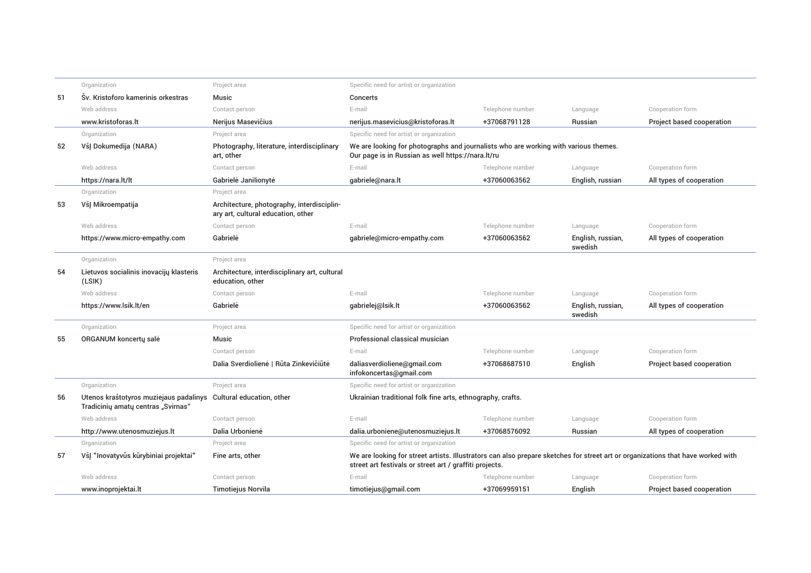|    | Organization                                                                 | Project area                                                                     | Specific need for artist or organization                                                                                                                                                   |                  |                              |                           |  |
|----|------------------------------------------------------------------------------|----------------------------------------------------------------------------------|--------------------------------------------------------------------------------------------------------------------------------------------------------------------------------------------|------------------|------------------------------|---------------------------|--|
| 51 | Sv. Kristoforo kamerinis orkestras                                           | Music                                                                            | Concerts                                                                                                                                                                                   |                  |                              |                           |  |
|    | Web address                                                                  | Contact person                                                                   | E-mail                                                                                                                                                                                     | Telephone number | Language                     | Cooperation form          |  |
|    | www.kristoforas.lt                                                           | Nerijus Masevičius                                                               | nerijus.masevicius@kristoforas.lt                                                                                                                                                          | +37068791128     | Russian                      | Project based cooperation |  |
|    | Organization                                                                 | Project area                                                                     | Specific need for artist or organization                                                                                                                                                   |                  |                              |                           |  |
| 52 | VšJ Dokumedija (NARA)                                                        | Photography, literature, interdisciplinary<br>art, other                         | We are looking for photographs and journalists who are working with various themes.<br>Our page is in Russian as well https://nara.lt/ru                                                   |                  |                              |                           |  |
|    | Web address                                                                  | Contact person                                                                   | E-mail                                                                                                                                                                                     | Telephone number | Language                     | Cooperation form          |  |
|    | https://nara.lt/lt                                                           | Gabrielė Janilionytė                                                             | gabriele@nara.lt                                                                                                                                                                           | +37060063562     | English, russian             | All types of cooperation  |  |
|    | Organization                                                                 | Project area                                                                     |                                                                                                                                                                                            |                  |                              |                           |  |
| 53 | VšĮ Mikroempatija                                                            | Architecture, photography, interdisciplin-<br>ary art, cultural education, other |                                                                                                                                                                                            |                  |                              |                           |  |
|    | Web address                                                                  | Contact person                                                                   | E-mail                                                                                                                                                                                     | Telephone number | Language                     | Cooperation form          |  |
|    | https://www.micro-empathy.com                                                | Gabriele                                                                         | gabriele@micro-empathy.com                                                                                                                                                                 | +37060063562     | English, russian,<br>swedish | All types of cooperation  |  |
|    | Organization                                                                 | Project area                                                                     |                                                                                                                                                                                            |                  |                              |                           |  |
| 54 | Lietuvos socialinis inovacijų klasteris<br>(LSIK)                            | Architecture, interdisciplinary art, cultural<br>education, other                |                                                                                                                                                                                            |                  |                              |                           |  |
|    | Web address                                                                  | Contact person                                                                   | E-mail                                                                                                                                                                                     | Telephone number | Language                     | Cooperation form          |  |
|    | https://www.lsik.lt/en                                                       | Gabriele                                                                         | gabrielej@lsik.lt                                                                                                                                                                          | +37060063562     | English, russian,<br>swedish | All types of cooperation  |  |
|    | Organization                                                                 | Project area                                                                     | Specific need for artist or organization                                                                                                                                                   |                  |                              |                           |  |
| 55 | ORGANUM koncerty sale                                                        | Music                                                                            | Professional classical musician                                                                                                                                                            |                  |                              |                           |  |
|    |                                                                              | Contact person                                                                   | E-mail                                                                                                                                                                                     | Telephone number | Language                     | Cooperation form          |  |
|    |                                                                              | Dalia Sverdiolienė   Rūta Zinkevičiūtė                                           | daliasverdioliene@qmail.com<br>infokoncertas@gmail.com                                                                                                                                     | +37068687510     | English                      | Project based cooperation |  |
|    | Organization                                                                 | Project area                                                                     | Specific need for artist or organization                                                                                                                                                   |                  |                              |                           |  |
| 56 | Utenos kraštotyros muziejaus padalinys<br>Tradicinių amatų centras "Svirnas" | Cultural education, other                                                        | Ukrainian traditional folk fine arts, ethnography, crafts.                                                                                                                                 |                  |                              |                           |  |
|    | Web address                                                                  | Contact person                                                                   | E-mail                                                                                                                                                                                     | Telephone number | Language                     | Cooperation form          |  |
|    | http://www.utenosmuziejus.lt                                                 | Dalia Urbonienė                                                                  | dalia.urboniene@utenosmuziejus.lt                                                                                                                                                          | +37068576092     | Russian                      | All types of cooperation  |  |
|    | Organization                                                                 | Project area                                                                     | Specific need for artist or organization                                                                                                                                                   |                  |                              |                           |  |
| 57 | VšJ "Inovatyvūs kūrybiniai projektai"                                        | Fine arts, other                                                                 | We are looking for street artists. Illustrators can also prepare sketches for street art or organizations that have worked with<br>street art festivals or street art / graffiti projects. |                  |                              |                           |  |
|    | Web address                                                                  | Contact person                                                                   | E-mail                                                                                                                                                                                     | Telephone number | Language                     | Cooperation form          |  |
|    | www.inoprojektai.lt                                                          | <b>Timotiejus Norvila</b>                                                        | timotiejus@gmail.com                                                                                                                                                                       | +37069959151     | English                      | Project based cooperation |  |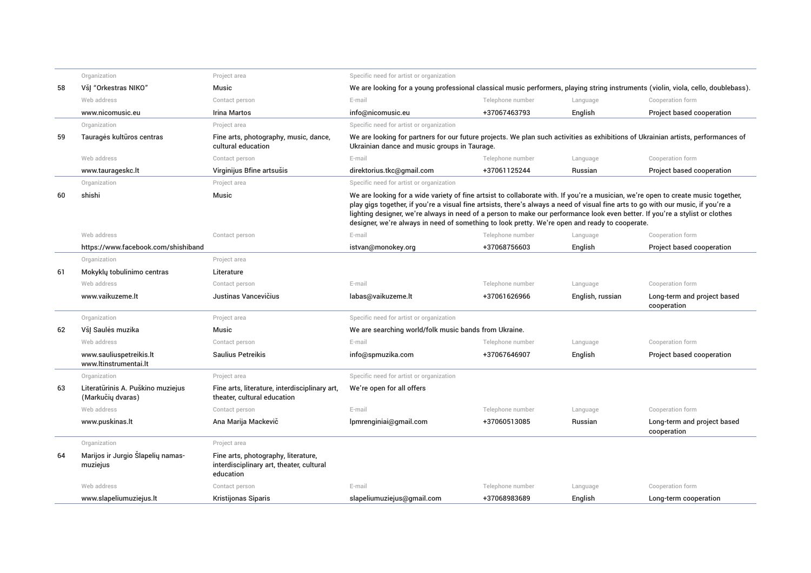|    | Organization                                           | Project area                                                                                 | Specific need for artist or organization                                                                                                                                                                                                                                                                                                                                                                                                                                                                 |                  |                  |                                            |
|----|--------------------------------------------------------|----------------------------------------------------------------------------------------------|----------------------------------------------------------------------------------------------------------------------------------------------------------------------------------------------------------------------------------------------------------------------------------------------------------------------------------------------------------------------------------------------------------------------------------------------------------------------------------------------------------|------------------|------------------|--------------------------------------------|
| 58 | VšJ "Orkestras NIKO"                                   | Music                                                                                        | We are looking for a young professional classical music performers, playing string instruments (violin, viola, cello, doublebass).                                                                                                                                                                                                                                                                                                                                                                       |                  |                  |                                            |
|    | Web address                                            | Contact person                                                                               | E-mail                                                                                                                                                                                                                                                                                                                                                                                                                                                                                                   | Telephone number | Language         | Cooperation form                           |
|    | www.nicomusic.eu                                       | <b>Irina Martos</b>                                                                          | info@nicomusic.eu                                                                                                                                                                                                                                                                                                                                                                                                                                                                                        | +37067463793     | English          | Project based cooperation                  |
|    | Organization                                           | Project area                                                                                 | Specific need for artist or organization                                                                                                                                                                                                                                                                                                                                                                                                                                                                 |                  |                  |                                            |
| 59 | Tauragės kultūros centras                              | Fine arts, photography, music, dance,<br>cultural education                                  | We are looking for partners for our future projects. We plan such activities as exhibitions of Ukrainian artists, performances of<br>Ukrainian dance and music groups in Taurage.                                                                                                                                                                                                                                                                                                                        |                  |                  |                                            |
|    | Web address                                            | Contact person                                                                               | E-mail                                                                                                                                                                                                                                                                                                                                                                                                                                                                                                   | Telephone number | Language         | Cooperation form                           |
|    | www.taurageskc.lt                                      | Virginijus Bfine artsušis                                                                    | direktorius.tkc@gmail.com                                                                                                                                                                                                                                                                                                                                                                                                                                                                                | +37061125244     | Russian          | Project based cooperation                  |
|    | Organization                                           | Project area                                                                                 | Specific need for artist or organization                                                                                                                                                                                                                                                                                                                                                                                                                                                                 |                  |                  |                                            |
| 60 | shishi                                                 | Music                                                                                        | We are looking for a wide variety of fine artsist to collaborate with. If you're a musician, we're open to create music together,<br>play gigs together, if you're a visual fine artsists, there's always a need of visual fine arts to go with our music, if you're a<br>lighting designer, we're always in need of a person to make our performance look even better. If you're a stylist or clothes<br>designer, we're always in need of something to look pretty. We're open and ready to cooperate. |                  |                  |                                            |
|    | Web address                                            | Contact person                                                                               | E-mail                                                                                                                                                                                                                                                                                                                                                                                                                                                                                                   | Telephone number | Language         | Cooperation form                           |
|    | https://www.facebook.com/shishiband                    |                                                                                              | istvan@monokey.org                                                                                                                                                                                                                                                                                                                                                                                                                                                                                       | +37068756603     | English          | Project based cooperation                  |
|    | Organization                                           | Project area                                                                                 |                                                                                                                                                                                                                                                                                                                                                                                                                                                                                                          |                  |                  |                                            |
| 61 | Mokyklų tobulinimo centras                             | Literature                                                                                   |                                                                                                                                                                                                                                                                                                                                                                                                                                                                                                          |                  |                  |                                            |
|    | Web address                                            | Contact person                                                                               | E-mail                                                                                                                                                                                                                                                                                                                                                                                                                                                                                                   | Telephone number | Language         | Cooperation form                           |
|    | www.vaikuzeme.lt                                       | Justinas Vancevičius                                                                         | labas@vaikuzeme.lt                                                                                                                                                                                                                                                                                                                                                                                                                                                                                       | +37061626966     | English, russian | Long-term and project based<br>cooperation |
|    | Organization                                           | Project area                                                                                 | Specific need for artist or organization                                                                                                                                                                                                                                                                                                                                                                                                                                                                 |                  |                  |                                            |
| 62 | VšJ Saulės muzika                                      | Music                                                                                        | We are searching world/folk music bands from Ukraine.                                                                                                                                                                                                                                                                                                                                                                                                                                                    |                  |                  |                                            |
|    | Web address                                            | Contact person                                                                               | E-mail                                                                                                                                                                                                                                                                                                                                                                                                                                                                                                   | Telephone number | Language         | Cooperation form                           |
|    | www.sauliuspetreikis.lt<br>www.ltinstrumentai.lt       | <b>Saulius Petreikis</b>                                                                     | info@spmuzika.com                                                                                                                                                                                                                                                                                                                                                                                                                                                                                        | +37067646907     | English          | Project based cooperation                  |
|    | Organization                                           | Project area                                                                                 | Specific need for artist or organization                                                                                                                                                                                                                                                                                                                                                                                                                                                                 |                  |                  |                                            |
| 63 | Literatūrinis A. Puškino muziejus<br>(Markučių dvaras) | Fine arts, literature, interdisciplinary art,<br>theater, cultural education                 | We're open for all offers                                                                                                                                                                                                                                                                                                                                                                                                                                                                                |                  |                  |                                            |
|    | Web address                                            | Contact person                                                                               | E-mail                                                                                                                                                                                                                                                                                                                                                                                                                                                                                                   | Telephone number | Language         | Cooperation form                           |
|    | www.puskinas.lt                                        | Ana Marija Mackevič                                                                          | lpmrenginiai@gmail.com                                                                                                                                                                                                                                                                                                                                                                                                                                                                                   | +37060513085     | Russian          | Long-term and project based<br>cooperation |
|    | Organization                                           | Project area                                                                                 |                                                                                                                                                                                                                                                                                                                                                                                                                                                                                                          |                  |                  |                                            |
| 64 | Marijos ir Jurgio Šlapelių namas-<br>muziejus          | Fine arts, photography, literature,<br>interdisciplinary art, theater, cultural<br>education |                                                                                                                                                                                                                                                                                                                                                                                                                                                                                                          |                  |                  |                                            |
|    | Web address                                            | Contact person                                                                               | E-mail                                                                                                                                                                                                                                                                                                                                                                                                                                                                                                   | Telephone number | Language         | Cooperation form                           |
|    | www.slapeliumuziejus.lt                                | <b>Kristijonas Siparis</b>                                                                   | slapeliumuziejus@gmail.com                                                                                                                                                                                                                                                                                                                                                                                                                                                                               | +37068983689     | English          | Long-term cooperation                      |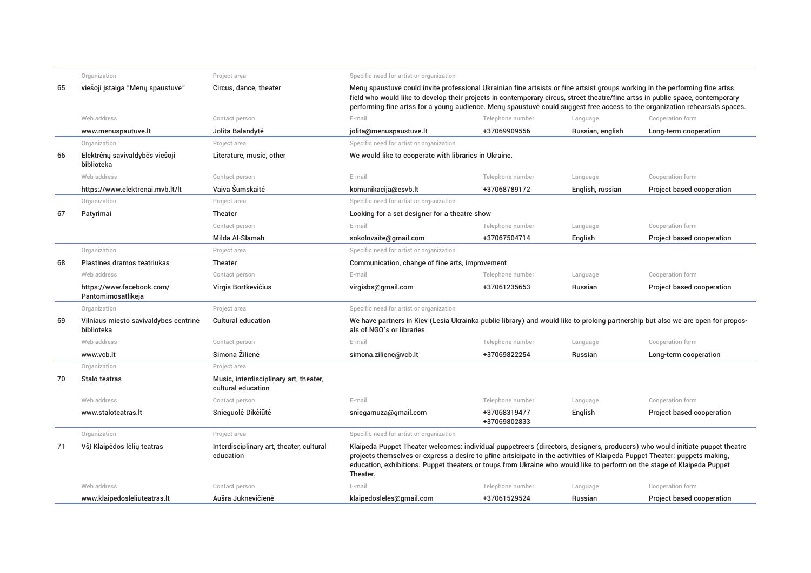|    | Organization                                        | Project area                                                 | Specific need for artist or organization                                                                                                                                                                                                                                                                                                                                                          |                              |                  |                           |
|----|-----------------------------------------------------|--------------------------------------------------------------|---------------------------------------------------------------------------------------------------------------------------------------------------------------------------------------------------------------------------------------------------------------------------------------------------------------------------------------------------------------------------------------------------|------------------------------|------------------|---------------------------|
| 65 | viešoji įstaiga "Menų spaustuvė"                    | Circus, dance, theater                                       | Meny spaustuve could invite professional Ukrainian fine artsists or fine artsist groups working in the performing fine artss<br>field who would like to develop their projects in contemporary circus, street theatre/fine artss in public space, contemporary<br>performing fine artss for a young audience. Meny spaustuve could suggest free access to the organization rehearsals spaces.     |                              |                  |                           |
|    | Web address                                         | Contact person                                               | E-mail                                                                                                                                                                                                                                                                                                                                                                                            | Telephone number             | Language         | Cooperation form          |
|    | www.menuspautuve.lt                                 | Jolita Balandytė                                             | jolita@menuspaustuve.lt                                                                                                                                                                                                                                                                                                                                                                           | +37069909556                 | Russian, english | Long-term cooperation     |
|    | Organization                                        | Project area                                                 | Specific need for artist or organization                                                                                                                                                                                                                                                                                                                                                          |                              |                  |                           |
| 66 | Elektrėnų savivaldybės viešoji<br>biblioteka        | Literature, music, other                                     | We would like to cooperate with libraries in Ukraine.                                                                                                                                                                                                                                                                                                                                             |                              |                  |                           |
|    | Web address                                         | Contact person                                               | E-mail                                                                                                                                                                                                                                                                                                                                                                                            | Telephone number             | Language         | Cooperation form          |
|    | https://www.elektrenai.mvb.lt/lt                    | Vaiva Šumskaitė                                              | komunikacija@esvb.lt                                                                                                                                                                                                                                                                                                                                                                              | +37068789172                 | English, russian | Project based cooperation |
|    | Organization                                        | Project area                                                 | Specific need for artist or organization                                                                                                                                                                                                                                                                                                                                                          |                              |                  |                           |
| 67 | Patyrimai                                           | Theater                                                      | Looking for a set designer for a theatre show                                                                                                                                                                                                                                                                                                                                                     |                              |                  |                           |
|    |                                                     | Contact person                                               | E-mail                                                                                                                                                                                                                                                                                                                                                                                            | Telephone number             | Language         | Cooperation form          |
|    |                                                     | Milda Al-Slamah                                              | sokolovaite@gmail.com                                                                                                                                                                                                                                                                                                                                                                             | +37067504714                 | English          | Project based cooperation |
|    | Organization                                        | Project area                                                 | Specific need for artist or organization                                                                                                                                                                                                                                                                                                                                                          |                              |                  |                           |
| 68 | Plastinės dramos teatriukas                         | <b>Theater</b>                                               | Communication, change of fine arts, improvement                                                                                                                                                                                                                                                                                                                                                   |                              |                  |                           |
|    | Web address                                         | Contact person                                               | E-mail                                                                                                                                                                                                                                                                                                                                                                                            | Telephone number             | Language         | Cooperation form          |
|    | https://www.facebook.com/<br>Pantomimosatlikeja     | Virgis Bortkevičius                                          | virgisbs@gmail.com                                                                                                                                                                                                                                                                                                                                                                                | +37061235653                 | Russian          | Project based cooperation |
|    | Organization                                        | Project area                                                 | Specific need for artist or organization                                                                                                                                                                                                                                                                                                                                                          |                              |                  |                           |
| 69 | Vilniaus miesto savivaldybės centrinė<br>biblioteka | <b>Cultural education</b>                                    | We have partners in Kiev (Lesia Ukrainka public library) and would like to prolong partnership but also we are open for propos-<br>als of NGO's or libraries                                                                                                                                                                                                                                      |                              |                  |                           |
|    | Web address                                         | Contact person                                               | E-mail                                                                                                                                                                                                                                                                                                                                                                                            | Telephone number             | Language         | Cooperation form          |
|    | www.vcb.lt                                          | Simona Žilienė                                               | simona.ziliene@vcb.lt                                                                                                                                                                                                                                                                                                                                                                             | +37069822254                 | Russian          | Long-term cooperation     |
|    | Organization                                        | Project area                                                 |                                                                                                                                                                                                                                                                                                                                                                                                   |                              |                  |                           |
| 70 | Stalo teatras                                       | Music, interdisciplinary art, theater,<br>cultural education |                                                                                                                                                                                                                                                                                                                                                                                                   |                              |                  |                           |
|    | Web address                                         | Contact person                                               | E-mail                                                                                                                                                                                                                                                                                                                                                                                            | Telephone number             | Language         | Cooperation form          |
|    | www.staloteatras.lt                                 | Snieguolė Dikčiūtė                                           | sniegamuza@gmail.com                                                                                                                                                                                                                                                                                                                                                                              | +37068319477<br>+37069802833 | English          | Project based cooperation |
|    | Organization                                        | Project area                                                 | Specific need for artist or organization                                                                                                                                                                                                                                                                                                                                                          |                              |                  |                           |
| 71 | VšJ Klaipėdos lėlių teatras                         | Interdisciplinary art, theater, cultural<br>education        | Klaipeda Puppet Theater welcomes: individual puppetreers (directors, designers, producers) who would initiate puppet theatre<br>projects themselves or express a desire to pfine artsicipate in the activities of Klaipėda Puppet Theater: puppets making,<br>education, exhibitions. Puppet theaters or toups from Ukraine who would like to perform on the stage of Klaipėda Puppet<br>Theater. |                              |                  |                           |
|    | Web address                                         | Contact person                                               | E-mail                                                                                                                                                                                                                                                                                                                                                                                            | Telephone number             | Language         | Cooperation form          |
|    | www.klaipedosleliuteatras.lt                        | Aušra Juknevičienė                                           | klaipedosleles@qmail.com                                                                                                                                                                                                                                                                                                                                                                          | +37061529524                 | Russian          | Project based cooperation |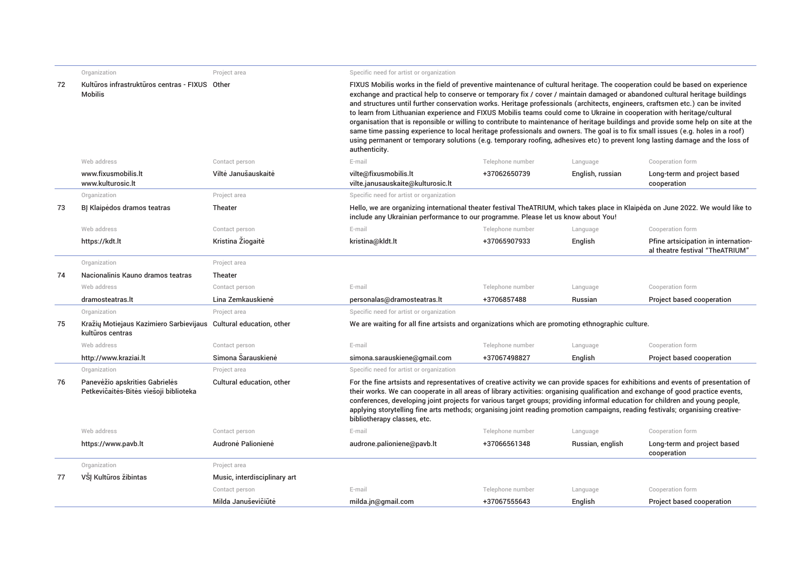| Kultūros infrastruktūros centras - FIXUS Other<br>FIXUS Mobilis works in the field of preventive maintenance of cultural heritage. The cooperation could be based on experience<br>72<br>exchange and practical help to conserve or temporary fix / cover / maintain damaged or abandoned cultural heritage buildings<br><b>Mobilis</b><br>and structures until further conservation works. Heritage professionals (architects, engineers, craftsmen etc.) can be invited<br>to learn from Lithuanian experience and FIXUS Mobilis teams could come to Ukraine in cooperation with heritage/cultural<br>organisation that is reponsible or willing to contribute to maintenance of heritage buildings and provide some help on site at the<br>same time passing experience to local heritage professionals and owners. The goal is to fix small issues (e.g. holes in a roof)<br>using permanent or temporary solutions (e.g. temporary roofing, adhesives etc) to prevent long lasting damage and the loss of<br>authenticity.<br>Web address<br>E-mail<br>Telephone number<br>Language<br>Cooperation form<br>Contact person<br>Viltė Janušauskaitė<br>www.fixusmobilis.lt<br>vilte@fixusmobilis.lt<br>+37062650739<br>English, russian<br>Long-term and project based<br>www.kulturosic.lt<br>vilte.janusauskaite@kulturosic.lt<br>cooperation<br>Project area<br>Specific need for artist or organization<br>Organization<br>73<br>BJ Klaipėdos dramos teatras<br>Theater<br>Hello, we are organizing international theater festival TheATRIUM, which takes place in Klaipėda on June 2022. We would like to<br>include any Ukrainian performance to our programme. Please let us know about You!<br>Web address<br>E-mail<br>Telephone number<br>Cooperation form<br>Contact person<br>Language<br>Kristina Žiogaitė<br>kristina@kldt.lt<br>+37065907933<br>https://kdt.lt<br>English<br>Pfine artsicipation in internation-<br>al theatre festival "TheATRIUM"<br>Organization<br>Project area<br>74<br>Nacionalinis Kauno dramos teatras<br>Theater<br>Web address<br>E-mail<br>Telephone number<br>Cooperation form<br>Contact person<br>Language<br>Lina Zemkauskienė<br>+3706857488<br>Russian<br>Project based cooperation<br>dramosteatras.lt<br>personalas@dramosteatras.lt<br>Specific need for artist or organization<br>Project area<br>Organization<br>Kražių Motiejaus Kazimiero Sarbievijaus Cultural education, other<br>We are waiting for all fine artsists and organizations which are promoting ethnographic culture.<br>75<br>kultūros centras<br>Web address<br>E-mail<br>Contact person<br>Telephone number<br>Cooperation form<br>Language<br>Simona Sarauskienė<br>+37067498827<br>English<br>Project based cooperation<br>http://www.kraziai.lt<br>simona.sarauskiene@gmail.com<br>Specific need for artist or organization<br>Project area<br>Organization<br>Panevėžio apskrities Gabrielės<br>76<br>Cultural education, other<br>For the fine artsists and representatives of creative activity we can provide spaces for exhibitions and events of presentation of<br>Petkevičaitės-Bitės viešoji biblioteka<br>their works. We can cooperate in all areas of library activities: organising qualification and exchange of good practice events,<br>conferences, developing joint projects for various target groups; providing informal education for children and young people,<br>applying storytelling fine arts methods; organising joint reading promotion campaigns, reading festivals; organising creative-<br>bibliotherapy classes, etc.<br>Web address<br>E-mail<br>Telephone number<br>Cooperation form<br>Contact person<br>Language<br>Audronė Palionienė<br>audrone.palioniene@pavb.lt<br>https://www.pavb.lt<br>+37066561348<br>Russian, english<br>Long-term and project based<br>cooperation<br>Organization<br>Project area<br>VSI Kultūros žibintas<br>77<br>Music, interdisciplinary art<br>Contact person<br>E-mail<br>Telephone number<br>Cooperation form<br>Language<br>Milda Januševičiūtė<br>+37067555643<br>English<br>Project based cooperation<br>milda.jn@gmail.com | Organization | Project area | Specific need for artist or organization |  |  |  |  |  |
|--------------------------------------------------------------------------------------------------------------------------------------------------------------------------------------------------------------------------------------------------------------------------------------------------------------------------------------------------------------------------------------------------------------------------------------------------------------------------------------------------------------------------------------------------------------------------------------------------------------------------------------------------------------------------------------------------------------------------------------------------------------------------------------------------------------------------------------------------------------------------------------------------------------------------------------------------------------------------------------------------------------------------------------------------------------------------------------------------------------------------------------------------------------------------------------------------------------------------------------------------------------------------------------------------------------------------------------------------------------------------------------------------------------------------------------------------------------------------------------------------------------------------------------------------------------------------------------------------------------------------------------------------------------------------------------------------------------------------------------------------------------------------------------------------------------------------------------------------------------------------------------------------------------------------------------------------------------------------------------------------------------------------------------------------------------------------------------------------------------------------------------------------------------------------------------------------------------------------------------------------------------------------------------------------------------------------------------------------------------------------------------------------------------------------------------------------------------------------------------------------------------------------------------------------------------------------------------------------------------------------------------------------------------------------------------------------------------------------------------------------------------------------------------------------------------------------------------------------------------------------------------------------------------------------------------------------------------------------------------------------------------------------------------------------------------------------------------------------------------------------------------------------------------------------------------------------------------------------------------------------------------------------------------------------------------------------------------------------------------------------------------------------------------------------------------------------------------------------------------------------------------------------------------------------------------------------------------------------------------------------------------------------------------------------------------------------------------------------------------------------------------------------------------------------------------------------------------------------------------------------------------------------------------------------------------------------------------------------------------------------------------------------------------------------------------------------------------------------------------------------------------|--------------|--------------|------------------------------------------|--|--|--|--|--|
|                                                                                                                                                                                                                                                                                                                                                                                                                                                                                                                                                                                                                                                                                                                                                                                                                                                                                                                                                                                                                                                                                                                                                                                                                                                                                                                                                                                                                                                                                                                                                                                                                                                                                                                                                                                                                                                                                                                                                                                                                                                                                                                                                                                                                                                                                                                                                                                                                                                                                                                                                                                                                                                                                                                                                                                                                                                                                                                                                                                                                                                                                                                                                                                                                                                                                                                                                                                                                                                                                                                                                                                                                                                                                                                                                                                                                                                                                                                                                                                                                                                                                                                                      |              |              |                                          |  |  |  |  |  |
|                                                                                                                                                                                                                                                                                                                                                                                                                                                                                                                                                                                                                                                                                                                                                                                                                                                                                                                                                                                                                                                                                                                                                                                                                                                                                                                                                                                                                                                                                                                                                                                                                                                                                                                                                                                                                                                                                                                                                                                                                                                                                                                                                                                                                                                                                                                                                                                                                                                                                                                                                                                                                                                                                                                                                                                                                                                                                                                                                                                                                                                                                                                                                                                                                                                                                                                                                                                                                                                                                                                                                                                                                                                                                                                                                                                                                                                                                                                                                                                                                                                                                                                                      |              |              |                                          |  |  |  |  |  |
|                                                                                                                                                                                                                                                                                                                                                                                                                                                                                                                                                                                                                                                                                                                                                                                                                                                                                                                                                                                                                                                                                                                                                                                                                                                                                                                                                                                                                                                                                                                                                                                                                                                                                                                                                                                                                                                                                                                                                                                                                                                                                                                                                                                                                                                                                                                                                                                                                                                                                                                                                                                                                                                                                                                                                                                                                                                                                                                                                                                                                                                                                                                                                                                                                                                                                                                                                                                                                                                                                                                                                                                                                                                                                                                                                                                                                                                                                                                                                                                                                                                                                                                                      |              |              |                                          |  |  |  |  |  |
|                                                                                                                                                                                                                                                                                                                                                                                                                                                                                                                                                                                                                                                                                                                                                                                                                                                                                                                                                                                                                                                                                                                                                                                                                                                                                                                                                                                                                                                                                                                                                                                                                                                                                                                                                                                                                                                                                                                                                                                                                                                                                                                                                                                                                                                                                                                                                                                                                                                                                                                                                                                                                                                                                                                                                                                                                                                                                                                                                                                                                                                                                                                                                                                                                                                                                                                                                                                                                                                                                                                                                                                                                                                                                                                                                                                                                                                                                                                                                                                                                                                                                                                                      |              |              |                                          |  |  |  |  |  |
|                                                                                                                                                                                                                                                                                                                                                                                                                                                                                                                                                                                                                                                                                                                                                                                                                                                                                                                                                                                                                                                                                                                                                                                                                                                                                                                                                                                                                                                                                                                                                                                                                                                                                                                                                                                                                                                                                                                                                                                                                                                                                                                                                                                                                                                                                                                                                                                                                                                                                                                                                                                                                                                                                                                                                                                                                                                                                                                                                                                                                                                                                                                                                                                                                                                                                                                                                                                                                                                                                                                                                                                                                                                                                                                                                                                                                                                                                                                                                                                                                                                                                                                                      |              |              |                                          |  |  |  |  |  |
|                                                                                                                                                                                                                                                                                                                                                                                                                                                                                                                                                                                                                                                                                                                                                                                                                                                                                                                                                                                                                                                                                                                                                                                                                                                                                                                                                                                                                                                                                                                                                                                                                                                                                                                                                                                                                                                                                                                                                                                                                                                                                                                                                                                                                                                                                                                                                                                                                                                                                                                                                                                                                                                                                                                                                                                                                                                                                                                                                                                                                                                                                                                                                                                                                                                                                                                                                                                                                                                                                                                                                                                                                                                                                                                                                                                                                                                                                                                                                                                                                                                                                                                                      |              |              |                                          |  |  |  |  |  |
|                                                                                                                                                                                                                                                                                                                                                                                                                                                                                                                                                                                                                                                                                                                                                                                                                                                                                                                                                                                                                                                                                                                                                                                                                                                                                                                                                                                                                                                                                                                                                                                                                                                                                                                                                                                                                                                                                                                                                                                                                                                                                                                                                                                                                                                                                                                                                                                                                                                                                                                                                                                                                                                                                                                                                                                                                                                                                                                                                                                                                                                                                                                                                                                                                                                                                                                                                                                                                                                                                                                                                                                                                                                                                                                                                                                                                                                                                                                                                                                                                                                                                                                                      |              |              |                                          |  |  |  |  |  |
|                                                                                                                                                                                                                                                                                                                                                                                                                                                                                                                                                                                                                                                                                                                                                                                                                                                                                                                                                                                                                                                                                                                                                                                                                                                                                                                                                                                                                                                                                                                                                                                                                                                                                                                                                                                                                                                                                                                                                                                                                                                                                                                                                                                                                                                                                                                                                                                                                                                                                                                                                                                                                                                                                                                                                                                                                                                                                                                                                                                                                                                                                                                                                                                                                                                                                                                                                                                                                                                                                                                                                                                                                                                                                                                                                                                                                                                                                                                                                                                                                                                                                                                                      |              |              |                                          |  |  |  |  |  |
|                                                                                                                                                                                                                                                                                                                                                                                                                                                                                                                                                                                                                                                                                                                                                                                                                                                                                                                                                                                                                                                                                                                                                                                                                                                                                                                                                                                                                                                                                                                                                                                                                                                                                                                                                                                                                                                                                                                                                                                                                                                                                                                                                                                                                                                                                                                                                                                                                                                                                                                                                                                                                                                                                                                                                                                                                                                                                                                                                                                                                                                                                                                                                                                                                                                                                                                                                                                                                                                                                                                                                                                                                                                                                                                                                                                                                                                                                                                                                                                                                                                                                                                                      |              |              |                                          |  |  |  |  |  |
|                                                                                                                                                                                                                                                                                                                                                                                                                                                                                                                                                                                                                                                                                                                                                                                                                                                                                                                                                                                                                                                                                                                                                                                                                                                                                                                                                                                                                                                                                                                                                                                                                                                                                                                                                                                                                                                                                                                                                                                                                                                                                                                                                                                                                                                                                                                                                                                                                                                                                                                                                                                                                                                                                                                                                                                                                                                                                                                                                                                                                                                                                                                                                                                                                                                                                                                                                                                                                                                                                                                                                                                                                                                                                                                                                                                                                                                                                                                                                                                                                                                                                                                                      |              |              |                                          |  |  |  |  |  |
|                                                                                                                                                                                                                                                                                                                                                                                                                                                                                                                                                                                                                                                                                                                                                                                                                                                                                                                                                                                                                                                                                                                                                                                                                                                                                                                                                                                                                                                                                                                                                                                                                                                                                                                                                                                                                                                                                                                                                                                                                                                                                                                                                                                                                                                                                                                                                                                                                                                                                                                                                                                                                                                                                                                                                                                                                                                                                                                                                                                                                                                                                                                                                                                                                                                                                                                                                                                                                                                                                                                                                                                                                                                                                                                                                                                                                                                                                                                                                                                                                                                                                                                                      |              |              |                                          |  |  |  |  |  |
|                                                                                                                                                                                                                                                                                                                                                                                                                                                                                                                                                                                                                                                                                                                                                                                                                                                                                                                                                                                                                                                                                                                                                                                                                                                                                                                                                                                                                                                                                                                                                                                                                                                                                                                                                                                                                                                                                                                                                                                                                                                                                                                                                                                                                                                                                                                                                                                                                                                                                                                                                                                                                                                                                                                                                                                                                                                                                                                                                                                                                                                                                                                                                                                                                                                                                                                                                                                                                                                                                                                                                                                                                                                                                                                                                                                                                                                                                                                                                                                                                                                                                                                                      |              |              |                                          |  |  |  |  |  |
|                                                                                                                                                                                                                                                                                                                                                                                                                                                                                                                                                                                                                                                                                                                                                                                                                                                                                                                                                                                                                                                                                                                                                                                                                                                                                                                                                                                                                                                                                                                                                                                                                                                                                                                                                                                                                                                                                                                                                                                                                                                                                                                                                                                                                                                                                                                                                                                                                                                                                                                                                                                                                                                                                                                                                                                                                                                                                                                                                                                                                                                                                                                                                                                                                                                                                                                                                                                                                                                                                                                                                                                                                                                                                                                                                                                                                                                                                                                                                                                                                                                                                                                                      |              |              |                                          |  |  |  |  |  |
|                                                                                                                                                                                                                                                                                                                                                                                                                                                                                                                                                                                                                                                                                                                                                                                                                                                                                                                                                                                                                                                                                                                                                                                                                                                                                                                                                                                                                                                                                                                                                                                                                                                                                                                                                                                                                                                                                                                                                                                                                                                                                                                                                                                                                                                                                                                                                                                                                                                                                                                                                                                                                                                                                                                                                                                                                                                                                                                                                                                                                                                                                                                                                                                                                                                                                                                                                                                                                                                                                                                                                                                                                                                                                                                                                                                                                                                                                                                                                                                                                                                                                                                                      |              |              |                                          |  |  |  |  |  |
|                                                                                                                                                                                                                                                                                                                                                                                                                                                                                                                                                                                                                                                                                                                                                                                                                                                                                                                                                                                                                                                                                                                                                                                                                                                                                                                                                                                                                                                                                                                                                                                                                                                                                                                                                                                                                                                                                                                                                                                                                                                                                                                                                                                                                                                                                                                                                                                                                                                                                                                                                                                                                                                                                                                                                                                                                                                                                                                                                                                                                                                                                                                                                                                                                                                                                                                                                                                                                                                                                                                                                                                                                                                                                                                                                                                                                                                                                                                                                                                                                                                                                                                                      |              |              |                                          |  |  |  |  |  |
|                                                                                                                                                                                                                                                                                                                                                                                                                                                                                                                                                                                                                                                                                                                                                                                                                                                                                                                                                                                                                                                                                                                                                                                                                                                                                                                                                                                                                                                                                                                                                                                                                                                                                                                                                                                                                                                                                                                                                                                                                                                                                                                                                                                                                                                                                                                                                                                                                                                                                                                                                                                                                                                                                                                                                                                                                                                                                                                                                                                                                                                                                                                                                                                                                                                                                                                                                                                                                                                                                                                                                                                                                                                                                                                                                                                                                                                                                                                                                                                                                                                                                                                                      |              |              |                                          |  |  |  |  |  |
|                                                                                                                                                                                                                                                                                                                                                                                                                                                                                                                                                                                                                                                                                                                                                                                                                                                                                                                                                                                                                                                                                                                                                                                                                                                                                                                                                                                                                                                                                                                                                                                                                                                                                                                                                                                                                                                                                                                                                                                                                                                                                                                                                                                                                                                                                                                                                                                                                                                                                                                                                                                                                                                                                                                                                                                                                                                                                                                                                                                                                                                                                                                                                                                                                                                                                                                                                                                                                                                                                                                                                                                                                                                                                                                                                                                                                                                                                                                                                                                                                                                                                                                                      |              |              |                                          |  |  |  |  |  |
|                                                                                                                                                                                                                                                                                                                                                                                                                                                                                                                                                                                                                                                                                                                                                                                                                                                                                                                                                                                                                                                                                                                                                                                                                                                                                                                                                                                                                                                                                                                                                                                                                                                                                                                                                                                                                                                                                                                                                                                                                                                                                                                                                                                                                                                                                                                                                                                                                                                                                                                                                                                                                                                                                                                                                                                                                                                                                                                                                                                                                                                                                                                                                                                                                                                                                                                                                                                                                                                                                                                                                                                                                                                                                                                                                                                                                                                                                                                                                                                                                                                                                                                                      |              |              |                                          |  |  |  |  |  |
|                                                                                                                                                                                                                                                                                                                                                                                                                                                                                                                                                                                                                                                                                                                                                                                                                                                                                                                                                                                                                                                                                                                                                                                                                                                                                                                                                                                                                                                                                                                                                                                                                                                                                                                                                                                                                                                                                                                                                                                                                                                                                                                                                                                                                                                                                                                                                                                                                                                                                                                                                                                                                                                                                                                                                                                                                                                                                                                                                                                                                                                                                                                                                                                                                                                                                                                                                                                                                                                                                                                                                                                                                                                                                                                                                                                                                                                                                                                                                                                                                                                                                                                                      |              |              |                                          |  |  |  |  |  |
|                                                                                                                                                                                                                                                                                                                                                                                                                                                                                                                                                                                                                                                                                                                                                                                                                                                                                                                                                                                                                                                                                                                                                                                                                                                                                                                                                                                                                                                                                                                                                                                                                                                                                                                                                                                                                                                                                                                                                                                                                                                                                                                                                                                                                                                                                                                                                                                                                                                                                                                                                                                                                                                                                                                                                                                                                                                                                                                                                                                                                                                                                                                                                                                                                                                                                                                                                                                                                                                                                                                                                                                                                                                                                                                                                                                                                                                                                                                                                                                                                                                                                                                                      |              |              |                                          |  |  |  |  |  |
|                                                                                                                                                                                                                                                                                                                                                                                                                                                                                                                                                                                                                                                                                                                                                                                                                                                                                                                                                                                                                                                                                                                                                                                                                                                                                                                                                                                                                                                                                                                                                                                                                                                                                                                                                                                                                                                                                                                                                                                                                                                                                                                                                                                                                                                                                                                                                                                                                                                                                                                                                                                                                                                                                                                                                                                                                                                                                                                                                                                                                                                                                                                                                                                                                                                                                                                                                                                                                                                                                                                                                                                                                                                                                                                                                                                                                                                                                                                                                                                                                                                                                                                                      |              |              |                                          |  |  |  |  |  |
|                                                                                                                                                                                                                                                                                                                                                                                                                                                                                                                                                                                                                                                                                                                                                                                                                                                                                                                                                                                                                                                                                                                                                                                                                                                                                                                                                                                                                                                                                                                                                                                                                                                                                                                                                                                                                                                                                                                                                                                                                                                                                                                                                                                                                                                                                                                                                                                                                                                                                                                                                                                                                                                                                                                                                                                                                                                                                                                                                                                                                                                                                                                                                                                                                                                                                                                                                                                                                                                                                                                                                                                                                                                                                                                                                                                                                                                                                                                                                                                                                                                                                                                                      |              |              |                                          |  |  |  |  |  |
|                                                                                                                                                                                                                                                                                                                                                                                                                                                                                                                                                                                                                                                                                                                                                                                                                                                                                                                                                                                                                                                                                                                                                                                                                                                                                                                                                                                                                                                                                                                                                                                                                                                                                                                                                                                                                                                                                                                                                                                                                                                                                                                                                                                                                                                                                                                                                                                                                                                                                                                                                                                                                                                                                                                                                                                                                                                                                                                                                                                                                                                                                                                                                                                                                                                                                                                                                                                                                                                                                                                                                                                                                                                                                                                                                                                                                                                                                                                                                                                                                                                                                                                                      |              |              |                                          |  |  |  |  |  |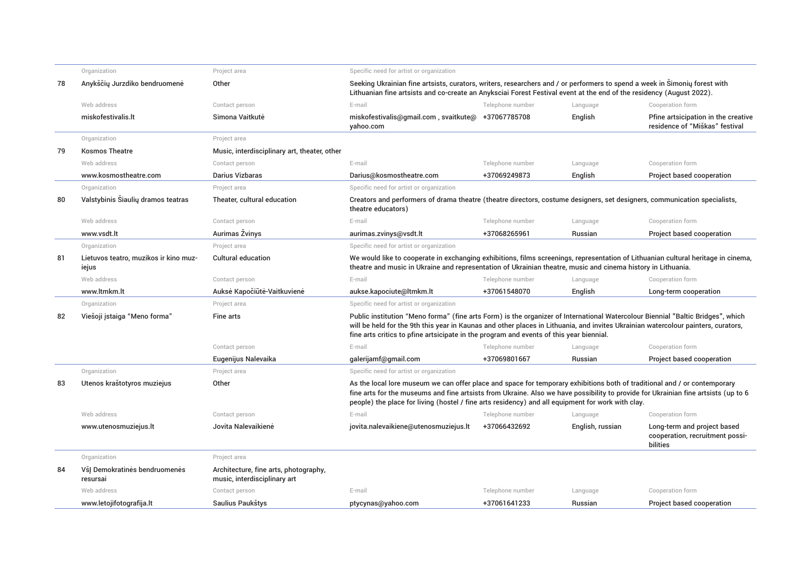|    | Organization                                   | Project area                                                          | Specific need for artist or organization                                                                                                                                                                                                                                                                                                                             |                  |                  |                                                                            |
|----|------------------------------------------------|-----------------------------------------------------------------------|----------------------------------------------------------------------------------------------------------------------------------------------------------------------------------------------------------------------------------------------------------------------------------------------------------------------------------------------------------------------|------------------|------------------|----------------------------------------------------------------------------|
| 78 | Anykščių Jurzdiko bendruomenė                  | Other                                                                 | Seeking Ukrainian fine artsists, curators, writers, researchers and / or performers to spend a week in Simoniy forest with<br>Lithuanian fine artsists and co-create an Anyksciai Forest Festival event at the end of the residency (August 2022).                                                                                                                   |                  |                  |                                                                            |
|    | Web address                                    | Contact person                                                        | E-mail                                                                                                                                                                                                                                                                                                                                                               | Telephone number | Language         | Cooperation form                                                           |
|    | miskofestivalis.lt                             | Simona Vaitkutė                                                       | miskofestivalis@qmail.com, svaitkute@ +37067785708<br>yahoo.com                                                                                                                                                                                                                                                                                                      |                  | English          | Pfine artsicipation in the creative<br>residence of "Miškas" festival      |
|    | Organization                                   | Project area                                                          |                                                                                                                                                                                                                                                                                                                                                                      |                  |                  |                                                                            |
| 79 | <b>Kosmos Theatre</b>                          | Music, interdisciplinary art, theater, other                          |                                                                                                                                                                                                                                                                                                                                                                      |                  |                  |                                                                            |
|    | Web address                                    | Contact person                                                        | E-mail                                                                                                                                                                                                                                                                                                                                                               | Telephone number | Language         | Cooperation form                                                           |
|    | www.kosmostheatre.com                          | <b>Darius Vizbaras</b>                                                | Darius@kosmostheatre.com                                                                                                                                                                                                                                                                                                                                             | +37069249873     | English          | Project based cooperation                                                  |
|    | Organization                                   | Project area                                                          | Specific need for artist or organization                                                                                                                                                                                                                                                                                                                             |                  |                  |                                                                            |
| 80 | Valstybinis Siaulių dramos teatras             | Theater, cultural education                                           | Creators and performers of drama theatre (theatre directors, costume designers, set designers, communication specialists,<br>theatre educators)                                                                                                                                                                                                                      |                  |                  |                                                                            |
|    | Web address                                    | Contact person                                                        | E-mail                                                                                                                                                                                                                                                                                                                                                               | Telephone number | Language         | Cooperation form                                                           |
|    | www.ysdt.lt                                    | Aurimas Žvinys                                                        | aurimas.zvinys@vsdt.lt                                                                                                                                                                                                                                                                                                                                               | +37068265961     | Russian          | Project based cooperation                                                  |
|    | Organization                                   | Project area                                                          | Specific need for artist or organization                                                                                                                                                                                                                                                                                                                             |                  |                  |                                                                            |
| 81 | Lietuvos teatro, muzikos ir kino muz-<br>iejus | <b>Cultural education</b>                                             | We would like to cooperate in exchanging exhibitions, films screenings, representation of Lithuanian cultural heritage in cinema,<br>theatre and music in Ukraine and representation of Ukrainian theatre, music and cinema history in Lithuania.                                                                                                                    |                  |                  |                                                                            |
|    | Web address                                    | Contact person                                                        | E-mail                                                                                                                                                                                                                                                                                                                                                               | Telephone number | Language         | Cooperation form                                                           |
|    | www.ltmkm.lt                                   | Auksė Kapočiūtė-Vaitkuvienė                                           | aukse.kapociute@ltmkm.lt                                                                                                                                                                                                                                                                                                                                             | +37061548070     | English          | Long-term cooperation                                                      |
|    | Organization                                   | Project area                                                          | Specific need for artist or organization                                                                                                                                                                                                                                                                                                                             |                  |                  |                                                                            |
| 82 | Viešoji įstaiga "Meno forma"                   | <b>Fine arts</b>                                                      | Public institution "Meno forma" (fine arts Form) is the organizer of International Watercolour Biennial "Baltic Bridges", which<br>will be held for the 9th this year in Kaunas and other places in Lithuania, and invites Ukrainian watercolour painters, curators,<br>fine arts critics to pfine artsicipate in the program and events of this year biennial.      |                  |                  |                                                                            |
|    |                                                | Contact person                                                        | E-mail                                                                                                                                                                                                                                                                                                                                                               | Telephone number | Language         | Cooperation form                                                           |
|    |                                                | Eugenijus Nalevaika                                                   | galerijamf@gmail.com                                                                                                                                                                                                                                                                                                                                                 | +37069801667     | Russian          | Project based cooperation                                                  |
|    | Organization                                   | Project area                                                          | Specific need for artist or organization                                                                                                                                                                                                                                                                                                                             |                  |                  |                                                                            |
| 83 | Utenos kraštotyros muziejus                    | Other                                                                 | As the local lore museum we can offer place and space for temporary exhibitions both of traditional and / or contemporary<br>fine arts for the museums and fine artsists from Ukraine. Also we have possibility to provide for Ukrainian fine artsists (up to 6<br>people) the place for living (hostel / fine arts residency) and all equipment for work with clay. |                  |                  |                                                                            |
|    | Web address                                    | Contact person                                                        | E-mail                                                                                                                                                                                                                                                                                                                                                               | Telephone number | Language         | Cooperation form                                                           |
|    | www.utenosmuziejus.lt                          | Jovita Nalevaikienė                                                   | jovita.nalevaikiene@utenosmuziejus.lt                                                                                                                                                                                                                                                                                                                                | +37066432692     | English, russian | Long-term and project based<br>cooperation, recruitment possi-<br>bilities |
|    | Organization                                   | Project area                                                          |                                                                                                                                                                                                                                                                                                                                                                      |                  |                  |                                                                            |
| 84 | VšJ Demokratinės bendruomenės<br>resursai      | Architecture, fine arts, photography,<br>music, interdisciplinary art |                                                                                                                                                                                                                                                                                                                                                                      |                  |                  |                                                                            |
|    | Web address                                    | Contact person                                                        | E-mail                                                                                                                                                                                                                                                                                                                                                               | Telephone number | Language         | Cooperation form                                                           |
|    | www.letojifotografija.lt                       | Saulius Paukštys                                                      | ptycynas@yahoo.com                                                                                                                                                                                                                                                                                                                                                   | +37061641233     | Russian          | Project based cooperation                                                  |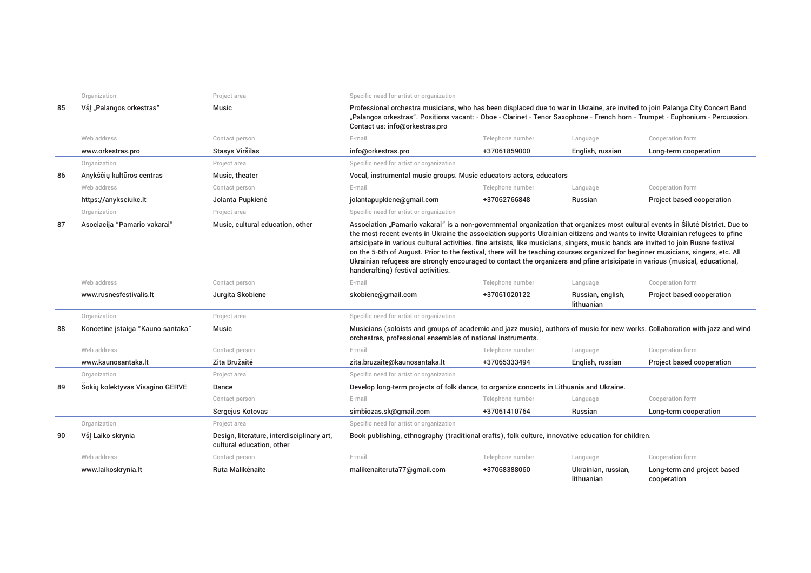|    | Organization                      | Project area                                                            | Specific need for artist or organization                                                                                                                                                                                                                                                                                                                                                                                                                                                                                                                                                                                                                                                                          |                                                                     |                                   |                                                                                                                               |  |  |
|----|-----------------------------------|-------------------------------------------------------------------------|-------------------------------------------------------------------------------------------------------------------------------------------------------------------------------------------------------------------------------------------------------------------------------------------------------------------------------------------------------------------------------------------------------------------------------------------------------------------------------------------------------------------------------------------------------------------------------------------------------------------------------------------------------------------------------------------------------------------|---------------------------------------------------------------------|-----------------------------------|-------------------------------------------------------------------------------------------------------------------------------|--|--|
| 85 | VšJ "Palangos orkestras"          | <b>Music</b>                                                            | Professional orchestra musicians, who has been displaced due to war in Ukraine, are invited to join Palanga City Concert Band<br>Contact us: info@orkestras.pro                                                                                                                                                                                                                                                                                                                                                                                                                                                                                                                                                   |                                                                     |                                   | "Palangos orkestras". Positions vacant: - Oboe - Clarinet - Tenor Saxophone - French horn - Trumpet - Euphonium - Percussion. |  |  |
|    | Web address                       | Contact person                                                          | E-mail                                                                                                                                                                                                                                                                                                                                                                                                                                                                                                                                                                                                                                                                                                            | Telephone number                                                    | Language                          | Cooperation form                                                                                                              |  |  |
|    | www.orkestras.pro                 | Stasys Viršilas                                                         | info@orkestras.pro                                                                                                                                                                                                                                                                                                                                                                                                                                                                                                                                                                                                                                                                                                | +37061859000                                                        | English, russian                  | Long-term cooperation                                                                                                         |  |  |
|    | Organization                      | Project area                                                            | Specific need for artist or organization                                                                                                                                                                                                                                                                                                                                                                                                                                                                                                                                                                                                                                                                          |                                                                     |                                   |                                                                                                                               |  |  |
| 86 | Anykščių kultūros centras         | Music, theater                                                          |                                                                                                                                                                                                                                                                                                                                                                                                                                                                                                                                                                                                                                                                                                                   | Vocal, instrumental music groups. Music educators actors, educators |                                   |                                                                                                                               |  |  |
|    | Web address                       | Contact person                                                          | E-mail                                                                                                                                                                                                                                                                                                                                                                                                                                                                                                                                                                                                                                                                                                            | Telephone number                                                    | Language                          | Cooperation form                                                                                                              |  |  |
|    | https://anyksciukc.lt             | Jolanta Pupkienė                                                        | jolantapupkiene@gmail.com                                                                                                                                                                                                                                                                                                                                                                                                                                                                                                                                                                                                                                                                                         | +37062766848                                                        | Russian                           | Project based cooperation                                                                                                     |  |  |
|    | Organization                      | Project area                                                            | Specific need for artist or organization                                                                                                                                                                                                                                                                                                                                                                                                                                                                                                                                                                                                                                                                          |                                                                     |                                   |                                                                                                                               |  |  |
| 87 | Asociacija "Pamario vakarai"      | Music, cultural education, other                                        | Association "Pamario vakarai" is a non-governmental organization that organizes most cultural events in Silute District. Due to<br>the most recent events in Ukraine the association supports Ukrainian citizens and wants to invite Ukrainian refugees to pfine<br>artsicipate in various cultural activities, fine artsists, like musicians, singers, music bands are invited to join Rusne festival<br>on the 5-6th of August. Prior to the festival, there will be teaching courses organized for beginner musicians, singers, etc. All<br>Ukrainian refugees are strongly encouraged to contact the organizers and pfine artsicipate in various (musical, educational,<br>handcrafting) festival activities. |                                                                     |                                   |                                                                                                                               |  |  |
|    | Web address                       | Contact person                                                          | E-mail                                                                                                                                                                                                                                                                                                                                                                                                                                                                                                                                                                                                                                                                                                            | Telephone number                                                    | Language                          | Cooperation form                                                                                                              |  |  |
|    | www.rusnesfestivalis.lt           | Jurgita Skobienė                                                        | skobiene@gmail.com                                                                                                                                                                                                                                                                                                                                                                                                                                                                                                                                                                                                                                                                                                | +37061020122                                                        | Russian, english,<br>lithuanian   | Project based cooperation                                                                                                     |  |  |
|    | Organization                      | Project area                                                            | Specific need for artist or organization                                                                                                                                                                                                                                                                                                                                                                                                                                                                                                                                                                                                                                                                          |                                                                     |                                   |                                                                                                                               |  |  |
| 88 | Koncetinė įstaiga "Kauno santaka" | <b>Music</b>                                                            | Musicians (soloists and groups of academic and jazz music), authors of music for new works. Collaboration with jazz and wind<br>orchestras, professional ensembles of national instruments.                                                                                                                                                                                                                                                                                                                                                                                                                                                                                                                       |                                                                     |                                   |                                                                                                                               |  |  |
|    | Web address                       | Contact person                                                          | E-mail                                                                                                                                                                                                                                                                                                                                                                                                                                                                                                                                                                                                                                                                                                            | Telephone number                                                    | Language                          | Cooperation form                                                                                                              |  |  |
|    | www.kaunosantaka.lt               | Zita Bružaitė                                                           | zita.bruzaite@kaunosantaka.lt                                                                                                                                                                                                                                                                                                                                                                                                                                                                                                                                                                                                                                                                                     | +37065333494                                                        | English, russian                  | Project based cooperation                                                                                                     |  |  |
|    | Organization                      | Project area                                                            | Specific need for artist or organization                                                                                                                                                                                                                                                                                                                                                                                                                                                                                                                                                                                                                                                                          |                                                                     |                                   |                                                                                                                               |  |  |
| 89 | Šokių kolektyvas Visagino GERVĖ   | Dance                                                                   | Develop long-term projects of folk dance, to organize concerts in Lithuania and Ukraine.                                                                                                                                                                                                                                                                                                                                                                                                                                                                                                                                                                                                                          |                                                                     |                                   |                                                                                                                               |  |  |
|    |                                   | Contact person                                                          | E-mail                                                                                                                                                                                                                                                                                                                                                                                                                                                                                                                                                                                                                                                                                                            | Telephone number                                                    | Language                          | Cooperation form                                                                                                              |  |  |
|    |                                   | Sergejus Kotovas                                                        | simbiozas.sk@gmail.com                                                                                                                                                                                                                                                                                                                                                                                                                                                                                                                                                                                                                                                                                            | +37061410764                                                        | Russian                           | Long-term cooperation                                                                                                         |  |  |
|    | Organization                      | Project area                                                            | Specific need for artist or organization                                                                                                                                                                                                                                                                                                                                                                                                                                                                                                                                                                                                                                                                          |                                                                     |                                   |                                                                                                                               |  |  |
| 90 | VšJ Laiko skrynia                 | Design, literature, interdisciplinary art,<br>cultural education, other | Book publishing, ethnography (traditional crafts), folk culture, innovative education for children.                                                                                                                                                                                                                                                                                                                                                                                                                                                                                                                                                                                                               |                                                                     |                                   |                                                                                                                               |  |  |
|    | Web address                       | Contact person                                                          | E-mail                                                                                                                                                                                                                                                                                                                                                                                                                                                                                                                                                                                                                                                                                                            | Telephone number                                                    | Language                          | Cooperation form                                                                                                              |  |  |
|    | www.laikoskrynia.lt               | Rūta Malikėnaitė                                                        | malikenaiteruta77@qmail.com                                                                                                                                                                                                                                                                                                                                                                                                                                                                                                                                                                                                                                                                                       | +37068388060                                                        | Ukrainian, russian,<br>lithuanian | Long-term and project based<br>cooperation                                                                                    |  |  |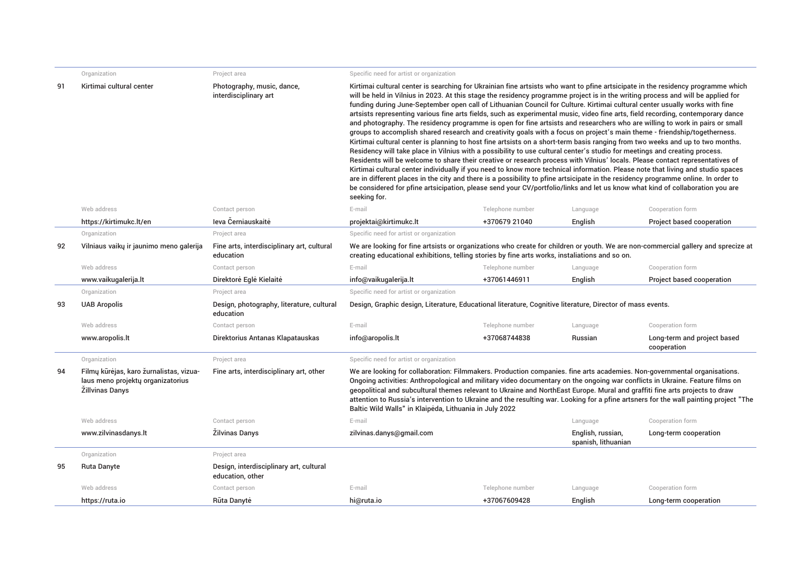|    | Organization                                                                                           | Project area                                                | Specific need for artist or organization                                                                                                                                                                                                                                                                                                                                                                                                                                                                                                                                                                                                                                                                                                                                                                                                                                                                                                                                                                                                                                                                                                                                                                                                                                                                                                                                                                                                                                                                                                                                                                                       |                  |                                          |                                            |  |
|----|--------------------------------------------------------------------------------------------------------|-------------------------------------------------------------|--------------------------------------------------------------------------------------------------------------------------------------------------------------------------------------------------------------------------------------------------------------------------------------------------------------------------------------------------------------------------------------------------------------------------------------------------------------------------------------------------------------------------------------------------------------------------------------------------------------------------------------------------------------------------------------------------------------------------------------------------------------------------------------------------------------------------------------------------------------------------------------------------------------------------------------------------------------------------------------------------------------------------------------------------------------------------------------------------------------------------------------------------------------------------------------------------------------------------------------------------------------------------------------------------------------------------------------------------------------------------------------------------------------------------------------------------------------------------------------------------------------------------------------------------------------------------------------------------------------------------------|------------------|------------------------------------------|--------------------------------------------|--|
| 91 | Kirtimai cultural center                                                                               | Photography, music, dance,<br>interdisciplinary art         | Kirtimai cultural center is searching for Ukrainian fine artsists who want to pfine artsicipate in the residency programme which<br>will be held in Vilnius in 2023. At this stage the residency programme project is in the writing process and will be applied for<br>funding during June-September open call of Lithuanian Council for Culture. Kirtimai cultural center usually works with fine<br>artsists representing various fine arts fields, such as experimental music, video fine arts, field recording, contemporary dance<br>and photography. The residency programme is open for fine artsists and researchers who are willing to work in pairs or small<br>groups to accomplish shared research and creativity goals with a focus on project's main theme - friendship/togetherness.<br>Kirtimai cultural center is planning to host fine artsists on a short-term basis ranging from two weeks and up to two months.<br>Residency will take place in Vilnius with a possibility to use cultural center's studio for meetings and creating process.<br>Residents will be welcome to share their creative or research process with Vilnius' locals. Please contact representatives of<br>Kirtimai cultural center individually if you need to know more technical information. Please note that living and studio spaces<br>are in different places in the city and there is a possibility to pfine artsicipate in the residency programme online. In order to<br>be considered for pfine artsicipation, please send your CV/portfolio/links and let us know what kind of collaboration you are<br>seeking for. |                  |                                          |                                            |  |
|    | Web address                                                                                            | Contact person                                              | E-mail                                                                                                                                                                                                                                                                                                                                                                                                                                                                                                                                                                                                                                                                                                                                                                                                                                                                                                                                                                                                                                                                                                                                                                                                                                                                                                                                                                                                                                                                                                                                                                                                                         | Telephone number | Language                                 | Cooperation form                           |  |
|    | https://kirtimukc.lt/en                                                                                | Jeva Černiauskaitė                                          | projektai@kirtimukc.lt                                                                                                                                                                                                                                                                                                                                                                                                                                                                                                                                                                                                                                                                                                                                                                                                                                                                                                                                                                                                                                                                                                                                                                                                                                                                                                                                                                                                                                                                                                                                                                                                         | +370679 21040    | English                                  | Project based cooperation                  |  |
|    | Organization                                                                                           | Project area                                                | Specific need for artist or organization                                                                                                                                                                                                                                                                                                                                                                                                                                                                                                                                                                                                                                                                                                                                                                                                                                                                                                                                                                                                                                                                                                                                                                                                                                                                                                                                                                                                                                                                                                                                                                                       |                  |                                          |                                            |  |
| 92 | Vilniaus vaikų ir jaunimo meno galerija                                                                | Fine arts, interdisciplinary art, cultural<br>education     | We are looking for fine artsists or organizations who create for children or youth. We are non-commercial gallery and sprecize at<br>creating educational exhibitions, telling stories by fine arts works, instaliations and so on.                                                                                                                                                                                                                                                                                                                                                                                                                                                                                                                                                                                                                                                                                                                                                                                                                                                                                                                                                                                                                                                                                                                                                                                                                                                                                                                                                                                            |                  |                                          |                                            |  |
|    | Web address                                                                                            | Contact person                                              | E-mail                                                                                                                                                                                                                                                                                                                                                                                                                                                                                                                                                                                                                                                                                                                                                                                                                                                                                                                                                                                                                                                                                                                                                                                                                                                                                                                                                                                                                                                                                                                                                                                                                         | Telephone number | Language                                 | Cooperation form                           |  |
|    | www.vaikugalerija.lt                                                                                   | Direktorė Eglė Kielaitė                                     | info@vaikugalerija.lt                                                                                                                                                                                                                                                                                                                                                                                                                                                                                                                                                                                                                                                                                                                                                                                                                                                                                                                                                                                                                                                                                                                                                                                                                                                                                                                                                                                                                                                                                                                                                                                                          | +37061446911     | English                                  | Project based cooperation                  |  |
|    | Organization                                                                                           | Project area                                                | Specific need for artist or organization                                                                                                                                                                                                                                                                                                                                                                                                                                                                                                                                                                                                                                                                                                                                                                                                                                                                                                                                                                                                                                                                                                                                                                                                                                                                                                                                                                                                                                                                                                                                                                                       |                  |                                          |                                            |  |
| 93 | <b>UAB Aropolis</b>                                                                                    | Design, photography, literature, cultural<br>education      | Design, Graphic design, Literature, Educational literature, Cognitive literature, Director of mass events.                                                                                                                                                                                                                                                                                                                                                                                                                                                                                                                                                                                                                                                                                                                                                                                                                                                                                                                                                                                                                                                                                                                                                                                                                                                                                                                                                                                                                                                                                                                     |                  |                                          |                                            |  |
|    | Web address                                                                                            | Contact person                                              | E-mail                                                                                                                                                                                                                                                                                                                                                                                                                                                                                                                                                                                                                                                                                                                                                                                                                                                                                                                                                                                                                                                                                                                                                                                                                                                                                                                                                                                                                                                                                                                                                                                                                         | Telephone number | Language                                 | Cooperation form                           |  |
|    | www.aropolis.lt                                                                                        | Direktorius Antanas Klapatauskas                            | info@aropolis.lt                                                                                                                                                                                                                                                                                                                                                                                                                                                                                                                                                                                                                                                                                                                                                                                                                                                                                                                                                                                                                                                                                                                                                                                                                                                                                                                                                                                                                                                                                                                                                                                                               | +37068744838     | <b>Russian</b>                           | Long-term and project based<br>cooperation |  |
|    | Organization                                                                                           | Project area                                                | Specific need for artist or organization                                                                                                                                                                                                                                                                                                                                                                                                                                                                                                                                                                                                                                                                                                                                                                                                                                                                                                                                                                                                                                                                                                                                                                                                                                                                                                                                                                                                                                                                                                                                                                                       |                  |                                          |                                            |  |
| 94 | Filmų kūrėjas, karo žurnalistas, vizua-<br>laus meno projektų organizatorius<br><b>Zillvinas Danys</b> | Fine arts, interdisciplinary art, other                     | We are looking for collaboration: Filmmakers. Production companies. fine arts academies. Non-governmental organisations.<br>Ongoing activities: Anthropological and military video documentary on the ongoing war conflicts in Ukraine. Feature films on<br>geopolitical and subcultural themes relevant to Ukraine and NorthEast Europe. Mural and graffiti fine arts projects to draw<br>attention to Russia's intervention to Ukraine and the resulting war. Looking for a pfine artsners for the wall painting project "The<br>Baltic Wild Walls" in Klaipėda, Lithuania in July 2022                                                                                                                                                                                                                                                                                                                                                                                                                                                                                                                                                                                                                                                                                                                                                                                                                                                                                                                                                                                                                                      |                  |                                          |                                            |  |
|    | Web address                                                                                            | Contact person                                              | E-mail                                                                                                                                                                                                                                                                                                                                                                                                                                                                                                                                                                                                                                                                                                                                                                                                                                                                                                                                                                                                                                                                                                                                                                                                                                                                                                                                                                                                                                                                                                                                                                                                                         |                  | Language                                 | Cooperation form                           |  |
|    | www.zilvinasdanys.lt                                                                                   | <b>Zilvinas Danys</b>                                       | zilvinas.danys@gmail.com                                                                                                                                                                                                                                                                                                                                                                                                                                                                                                                                                                                                                                                                                                                                                                                                                                                                                                                                                                                                                                                                                                                                                                                                                                                                                                                                                                                                                                                                                                                                                                                                       |                  | English, russian,<br>spanish, lithuanian | Long-term cooperation                      |  |
|    | Organization                                                                                           | Project area                                                |                                                                                                                                                                                                                                                                                                                                                                                                                                                                                                                                                                                                                                                                                                                                                                                                                                                                                                                                                                                                                                                                                                                                                                                                                                                                                                                                                                                                                                                                                                                                                                                                                                |                  |                                          |                                            |  |
| 95 | <b>Ruta Danyte</b>                                                                                     | Design, interdisciplinary art, cultural<br>education, other |                                                                                                                                                                                                                                                                                                                                                                                                                                                                                                                                                                                                                                                                                                                                                                                                                                                                                                                                                                                                                                                                                                                                                                                                                                                                                                                                                                                                                                                                                                                                                                                                                                |                  |                                          |                                            |  |
|    | Web address                                                                                            | Contact person                                              | E-mail                                                                                                                                                                                                                                                                                                                                                                                                                                                                                                                                                                                                                                                                                                                                                                                                                                                                                                                                                                                                                                                                                                                                                                                                                                                                                                                                                                                                                                                                                                                                                                                                                         | Telephone number | Language                                 | Cooperation form                           |  |
|    | https://ruta.io                                                                                        | Rūta Danytė                                                 | hi@ruta.io                                                                                                                                                                                                                                                                                                                                                                                                                                                                                                                                                                                                                                                                                                                                                                                                                                                                                                                                                                                                                                                                                                                                                                                                                                                                                                                                                                                                                                                                                                                                                                                                                     | +37067609428     | English                                  | Long-term cooperation                      |  |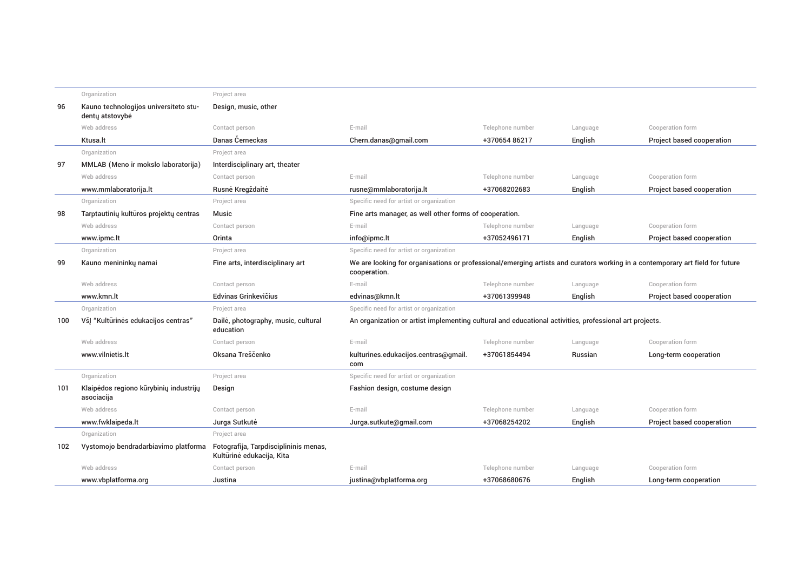|     | Organization                                             | Project area                                                       |                                                                                                                                               |                  |          |                           |
|-----|----------------------------------------------------------|--------------------------------------------------------------------|-----------------------------------------------------------------------------------------------------------------------------------------------|------------------|----------|---------------------------|
| 96  | Kauno technologijos universiteto stu-<br>denty atstovybė | Design, music, other                                               |                                                                                                                                               |                  |          |                           |
|     | Web address                                              | Contact person                                                     | E-mail                                                                                                                                        | Telephone number | Language | Cooperation form          |
|     | Ktusa.lt                                                 | Danas Černeckas                                                    | Chern.danas@gmail.com                                                                                                                         | +370654 86217    | English  | Project based cooperation |
|     | Organization                                             | Project area                                                       |                                                                                                                                               |                  |          |                           |
| 97  | MMLAB (Meno ir mokslo laboratorija)                      | Interdisciplinary art, theater                                     |                                                                                                                                               |                  |          |                           |
|     | Web address                                              | Contact person                                                     | E-mail                                                                                                                                        | Telephone number | Language | Cooperation form          |
|     | www.mmlaboratorija.lt                                    | Rusnė Kregždaitė                                                   | rusne@mmlaboratorija.lt                                                                                                                       | +37068202683     | English  | Project based cooperation |
|     | Organization                                             | Project area                                                       | Specific need for artist or organization                                                                                                      |                  |          |                           |
| 98  | Tarptautinių kultūros projektų centras                   | <b>Music</b>                                                       | Fine arts manager, as well other forms of cooperation.                                                                                        |                  |          |                           |
|     | Web address                                              | Contact person                                                     | E-mail                                                                                                                                        | Telephone number | Language | Cooperation form          |
|     | www.ipmc.lt                                              | Orinta                                                             | info@ipmc.lt                                                                                                                                  | +37052496171     | English  | Project based cooperation |
|     | Organization                                             | Project area                                                       | Specific need for artist or organization                                                                                                      |                  |          |                           |
| 99  | Kauno menininkų namai                                    | Fine arts, interdisciplinary art                                   | We are looking for organisations or professional/emerging artists and curators working in a contemporary art field for future<br>cooperation. |                  |          |                           |
|     | Web address                                              | Contact person                                                     | E-mail                                                                                                                                        | Telephone number | Language | Cooperation form          |
|     | www.kmn.lt                                               | Edvinas Grinkevičius                                               | edvinas@kmn.lt                                                                                                                                | +37061399948     | English  | Project based cooperation |
|     | Organization                                             | Project area                                                       | Specific need for artist or organization                                                                                                      |                  |          |                           |
| 100 | VšJ "Kultūrinės edukacijos centras"                      | Dailė, photography, music, cultural<br>education                   | An organization or artist implementing cultural and educational activities, professional art projects.                                        |                  |          |                           |
|     | Web address                                              | Contact person                                                     | E-mail                                                                                                                                        | Telephone number | Language | Cooperation form          |
|     | www.vilnietis.lt                                         | Oksana Treščenko                                                   | kulturines.edukacijos.centras@qmail.<br>com                                                                                                   | +37061854494     | Russian  | Long-term cooperation     |
|     | Organization                                             | Project area                                                       | Specific need for artist or organization                                                                                                      |                  |          |                           |
| 101 | Klaipėdos regiono kūrybinių industrijų<br>asociacija     | Design                                                             | Fashion design, costume design                                                                                                                |                  |          |                           |
|     | Web address                                              | Contact person                                                     | E-mail                                                                                                                                        | Telephone number | Language | Cooperation form          |
|     | www.fwklaipeda.lt                                        | Jurga Sutkutė                                                      | Jurga.sutkute@gmail.com                                                                                                                       | +37068254202     | English  | Project based cooperation |
|     | Organization                                             | Project area                                                       |                                                                                                                                               |                  |          |                           |
| 102 | Vystomojo bendradarbiavimo platforma                     | Fotografija, Tarpdisciplininis menas,<br>Kultūrinė edukacija, Kita |                                                                                                                                               |                  |          |                           |
|     | Web address                                              | Contact person                                                     | E-mail                                                                                                                                        | Telephone number | Language | Cooperation form          |
|     | www.vbplatforma.org                                      | Justina                                                            | justina@vbplatforma.org                                                                                                                       | +37068680676     | English  | Long-term cooperation     |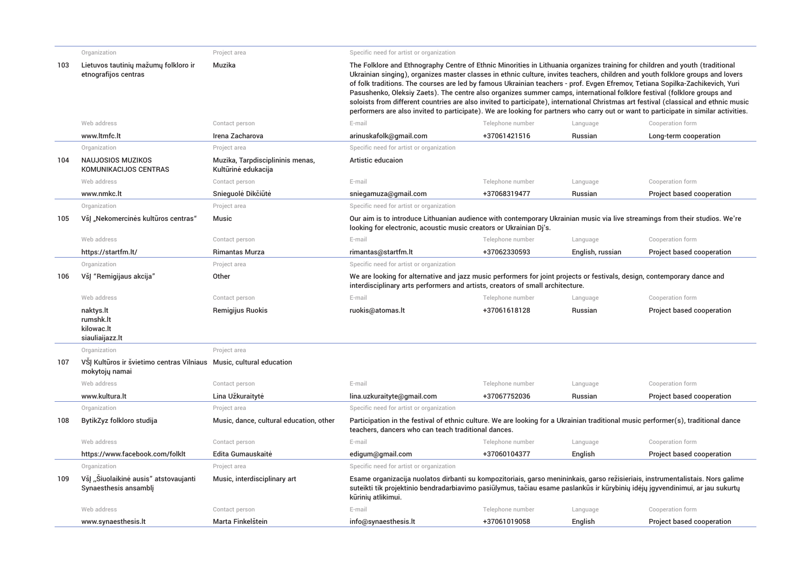|     | Organization                                                                          | Project area                                            | Specific need for artist or organization                                                                                                                                                                                                                                                                                                                                                                                                                                                                                                                                                                                                                                                                                                                                                                     |                  |                  |                           |  |  |
|-----|---------------------------------------------------------------------------------------|---------------------------------------------------------|--------------------------------------------------------------------------------------------------------------------------------------------------------------------------------------------------------------------------------------------------------------------------------------------------------------------------------------------------------------------------------------------------------------------------------------------------------------------------------------------------------------------------------------------------------------------------------------------------------------------------------------------------------------------------------------------------------------------------------------------------------------------------------------------------------------|------------------|------------------|---------------------------|--|--|
| 103 | Lietuvos tautinių mažumų folkloro ir<br>etnografijos centras                          | Muzika                                                  | The Folklore and Ethnography Centre of Ethnic Minorities in Lithuania organizes training for children and youth (traditional<br>Ukrainian singing), organizes master classes in ethnic culture, invites teachers, children and youth folklore groups and lovers<br>of folk traditions. The courses are led by famous Ukrainian teachers - prof. Evgen Efremov, Tetiana Sopilka-Zachikevich, Yuri<br>Pasushenko, Oleksiy Zaets). The centre also organizes summer camps, international folklore festival (folklore groups and<br>soloists from different countries are also invited to participate), international Christmas art festival (classical and ethnic music<br>performers are also invited to participate). We are looking for partners who carry out or want to participate in similar activities. |                  |                  |                           |  |  |
|     | Web address                                                                           | Contact person                                          | E-mail                                                                                                                                                                                                                                                                                                                                                                                                                                                                                                                                                                                                                                                                                                                                                                                                       | Telephone number | Language         | Cooperation form          |  |  |
|     | www.ltmfc.lt                                                                          | Irena Zacharova                                         | arinuskafolk@gmail.com                                                                                                                                                                                                                                                                                                                                                                                                                                                                                                                                                                                                                                                                                                                                                                                       | +37061421516     | Russian          | Long-term cooperation     |  |  |
|     | Organization                                                                          | Project area                                            | Specific need for artist or organization                                                                                                                                                                                                                                                                                                                                                                                                                                                                                                                                                                                                                                                                                                                                                                     |                  |                  |                           |  |  |
| 104 | <b>NAUJOSIOS MUZIKOS</b><br>KOMUNIKACIJOS CENTRAS                                     | Muzika, Tarpdisciplininis menas,<br>Kultūrinė edukacija | Artistic educaion                                                                                                                                                                                                                                                                                                                                                                                                                                                                                                                                                                                                                                                                                                                                                                                            |                  |                  |                           |  |  |
|     | Web address                                                                           | Contact person                                          | E-mail                                                                                                                                                                                                                                                                                                                                                                                                                                                                                                                                                                                                                                                                                                                                                                                                       | Telephone number | Language         | Cooperation form          |  |  |
|     | www.nmkc.lt                                                                           | Snieguolė Dikčiūtė                                      | sniegamuza@gmail.com                                                                                                                                                                                                                                                                                                                                                                                                                                                                                                                                                                                                                                                                                                                                                                                         | +37068319477     | Russian          | Project based cooperation |  |  |
|     | Organization                                                                          | Project area                                            | Specific need for artist or organization                                                                                                                                                                                                                                                                                                                                                                                                                                                                                                                                                                                                                                                                                                                                                                     |                  |                  |                           |  |  |
| 105 | VšJ "Nekomercinės kultūros centras"                                                   | <b>Music</b>                                            | Our aim is to introduce Lithuanian audience with contemporary Ukrainian music via live streamings from their studios. We're<br>looking for electronic, acoustic music creators or Ukrainian Dj's.                                                                                                                                                                                                                                                                                                                                                                                                                                                                                                                                                                                                            |                  |                  |                           |  |  |
|     | Web address                                                                           | Contact person                                          | E-mail                                                                                                                                                                                                                                                                                                                                                                                                                                                                                                                                                                                                                                                                                                                                                                                                       | Telephone number | Language         | Cooperation form          |  |  |
|     | https://startfm.lt/                                                                   | <b>Rimantas Murza</b>                                   | rimantas@startfm.lt                                                                                                                                                                                                                                                                                                                                                                                                                                                                                                                                                                                                                                                                                                                                                                                          | +37062330593     | English, russian | Project based cooperation |  |  |
|     | Organization                                                                          | Project area                                            | Specific need for artist or organization                                                                                                                                                                                                                                                                                                                                                                                                                                                                                                                                                                                                                                                                                                                                                                     |                  |                  |                           |  |  |
| 106 | VšJ "Remigijaus akcija"                                                               | Other                                                   | We are looking for alternative and jazz music performers for joint projects or festivals, design, contemporary dance and<br>interdisciplinary arts performers and artists, creators of small architecture.                                                                                                                                                                                                                                                                                                                                                                                                                                                                                                                                                                                                   |                  |                  |                           |  |  |
|     | Web address                                                                           | Contact person                                          | E-mail                                                                                                                                                                                                                                                                                                                                                                                                                                                                                                                                                                                                                                                                                                                                                                                                       | Telephone number | Language         | Cooperation form          |  |  |
|     | naktys.lt<br>rumshk.lt<br>kilowac.lt<br>siauliaijazz.lt                               | Remigijus Ruokis                                        | ruokis@atomas.lt                                                                                                                                                                                                                                                                                                                                                                                                                                                                                                                                                                                                                                                                                                                                                                                             | +37061618128     | Russian          | Project based cooperation |  |  |
|     | Organization                                                                          | Project area                                            |                                                                                                                                                                                                                                                                                                                                                                                                                                                                                                                                                                                                                                                                                                                                                                                                              |                  |                  |                           |  |  |
| 107 | VSJ Kultūros ir švietimo centras Vilniaus Music, cultural education<br>mokytojų namai |                                                         |                                                                                                                                                                                                                                                                                                                                                                                                                                                                                                                                                                                                                                                                                                                                                                                                              |                  |                  |                           |  |  |
|     | Web address                                                                           | Contact person                                          | E-mail                                                                                                                                                                                                                                                                                                                                                                                                                                                                                                                                                                                                                                                                                                                                                                                                       | Telephone number | Language         | Cooperation form          |  |  |
|     | www.kultura.lt                                                                        | Lina Užkuraitytė                                        | lina.uzkuraityte@qmail.com                                                                                                                                                                                                                                                                                                                                                                                                                                                                                                                                                                                                                                                                                                                                                                                   | +37067752036     | Russian          | Project based cooperation |  |  |
|     | Organization                                                                          | Project area                                            | Specific need for artist or organization                                                                                                                                                                                                                                                                                                                                                                                                                                                                                                                                                                                                                                                                                                                                                                     |                  |                  |                           |  |  |
| 108 | BytikZyz folkloro studija                                                             | Music, dance, cultural education, other                 | Participation in the festival of ethnic culture. We are looking for a Ukrainian traditional music performer(s), traditional dance<br>teachers, dancers who can teach traditional dances.                                                                                                                                                                                                                                                                                                                                                                                                                                                                                                                                                                                                                     |                  |                  |                           |  |  |
|     | Web address                                                                           | Contact person                                          | E-mail                                                                                                                                                                                                                                                                                                                                                                                                                                                                                                                                                                                                                                                                                                                                                                                                       | Telephone number | Language         | Cooperation form          |  |  |
|     | https://www.facebook.com/folklt                                                       | Edita Gumauskaitė                                       | edigum@gmail.com                                                                                                                                                                                                                                                                                                                                                                                                                                                                                                                                                                                                                                                                                                                                                                                             | +37060104377     | English          | Project based cooperation |  |  |
|     | Organization                                                                          | Project area                                            | Specific need for artist or organization                                                                                                                                                                                                                                                                                                                                                                                                                                                                                                                                                                                                                                                                                                                                                                     |                  |                  |                           |  |  |
| 109 | VšĮ "Šiuolaikinė ausis" atstovaujanti<br>Synaesthesis ansamblj                        | Music, interdisciplinary art                            | Esame organizacija nuolatos dirbanti su kompozitoriais, garso menininkais, garso režisieriais, instrumentalistais. Nors galime<br>suteikti tik projektinio bendradarbiavimo pasiūlymus, tačiau esame paslankūs ir kūrybinių idėjų jąyvendinimui, ar jau sukurtų<br>kūrinių atlikimui.                                                                                                                                                                                                                                                                                                                                                                                                                                                                                                                        |                  |                  |                           |  |  |
|     | Web address                                                                           | Contact person                                          | E-mail                                                                                                                                                                                                                                                                                                                                                                                                                                                                                                                                                                                                                                                                                                                                                                                                       | Telephone number | Language         | Cooperation form          |  |  |
|     | www.synaesthesis.lt                                                                   | Marta Finkelštein                                       | info@synaesthesis.lt                                                                                                                                                                                                                                                                                                                                                                                                                                                                                                                                                                                                                                                                                                                                                                                         | +37061019058     | English          | Project based cooperation |  |  |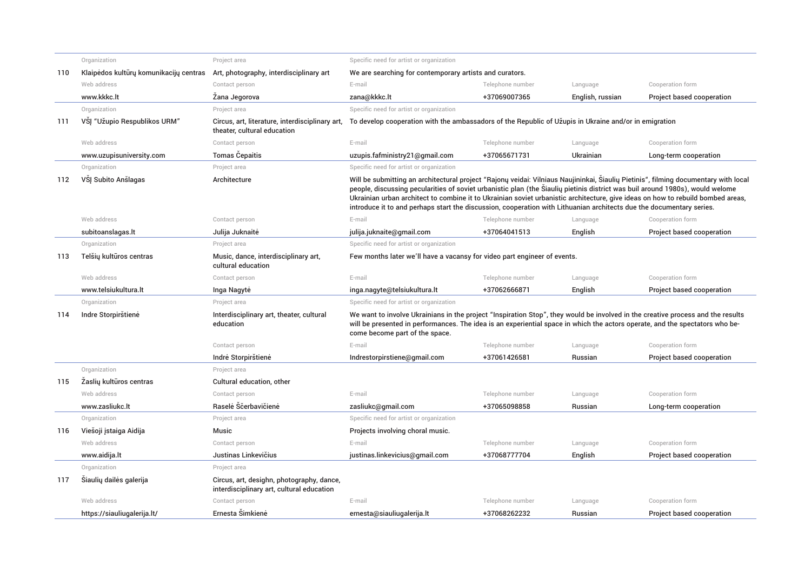|     | Organization                           | Project area                                                                           | Specific need for artist or organization                                                                                                                                                                                                                                                                                                                                                                                                                                                                                        |                  |                  |                           |  |
|-----|----------------------------------------|----------------------------------------------------------------------------------------|---------------------------------------------------------------------------------------------------------------------------------------------------------------------------------------------------------------------------------------------------------------------------------------------------------------------------------------------------------------------------------------------------------------------------------------------------------------------------------------------------------------------------------|------------------|------------------|---------------------------|--|
| 110 | Klaipėdos kultūrų komunikacijų centras | Art, photography, interdisciplinary art                                                | We are searching for contemporary artists and curators.                                                                                                                                                                                                                                                                                                                                                                                                                                                                         |                  |                  |                           |  |
|     | Web address                            | Contact person                                                                         | E-mail                                                                                                                                                                                                                                                                                                                                                                                                                                                                                                                          | Telephone number | Language         | Cooperation form          |  |
|     | www.kkkc.lt                            | Żana Jegorova                                                                          | zana@kkkc.lt                                                                                                                                                                                                                                                                                                                                                                                                                                                                                                                    | +37069007365     | English, russian | Project based cooperation |  |
|     | Organization                           | Project area                                                                           | Specific need for artist or organization                                                                                                                                                                                                                                                                                                                                                                                                                                                                                        |                  |                  |                           |  |
| 111 | VSJ "Užupio Respublikos URM"           | Circus, art, literature, interdisciplinary art,<br>theater, cultural education         | To develop cooperation with the ambassadors of the Republic of Užupis in Ukraine and/or in emigration                                                                                                                                                                                                                                                                                                                                                                                                                           |                  |                  |                           |  |
|     | Web address                            | Contact person                                                                         | E-mail                                                                                                                                                                                                                                                                                                                                                                                                                                                                                                                          | Telephone number | Language         | Cooperation form          |  |
|     | www.uzupisuniversity.com               | <b>Tomas Cepaitis</b>                                                                  | uzupis.fafministry21@gmail.com                                                                                                                                                                                                                                                                                                                                                                                                                                                                                                  | +37065671731     | Ukrainian        | Long-term cooperation     |  |
|     | Organization                           | Project area                                                                           | Specific need for artist or organization                                                                                                                                                                                                                                                                                                                                                                                                                                                                                        |                  |                  |                           |  |
| 112 | VSJ Subito Anšlagas                    | Architecture                                                                           | Will be submitting an architectural project "Rajony veidai: Vilniaus Naujininkai, Siauliy Pietinis", filming documentary with local<br>people, discussing pecularities of soviet urbanistic plan (the Siauliy pietinis district was buil around 1980s), would welome<br>Ukrainian urban architect to combine it to Ukrainian soviet urbanistic architecture, give ideas on how to rebuild bombed areas,<br>introduce it to and perhaps start the discussion, cooperation with Lithuanian architects due the documentary series. |                  |                  |                           |  |
|     | Web address                            | Contact person                                                                         | E-mail                                                                                                                                                                                                                                                                                                                                                                                                                                                                                                                          | Telephone number | Language         | Cooperation form          |  |
|     | subitoanslagas.lt                      | Julija Juknaitė                                                                        | julija.juknaite@gmail.com                                                                                                                                                                                                                                                                                                                                                                                                                                                                                                       | +37064041513     | English          | Project based cooperation |  |
|     | Organization                           | Project area                                                                           | Specific need for artist or organization                                                                                                                                                                                                                                                                                                                                                                                                                                                                                        |                  |                  |                           |  |
| 113 | Telšių kultūros centras                | Music, dance, interdisciplinary art,<br>cultural education                             | Few months later we'll have a vacansy for video part engineer of events.                                                                                                                                                                                                                                                                                                                                                                                                                                                        |                  |                  |                           |  |
|     | Web address                            | Contact person                                                                         | E-mail                                                                                                                                                                                                                                                                                                                                                                                                                                                                                                                          | Telephone number | Language         | Cooperation form          |  |
|     | www.telsiukultura.lt                   | Inga Nagyte                                                                            | inga.nagyte@telsiukultura.lt                                                                                                                                                                                                                                                                                                                                                                                                                                                                                                    | +37062666871     | English          | Project based cooperation |  |
|     | Organization                           | Project area                                                                           | Specific need for artist or organization                                                                                                                                                                                                                                                                                                                                                                                                                                                                                        |                  |                  |                           |  |
| 114 | Indre Storpirštienė                    | Interdisciplinary art, theater, cultural<br>education                                  | We want to involve Ukrainians in the project "Inspiration Stop", they would be involved in the creative process and the results<br>will be presented in performances. The idea is an experiential space in which the actors operate, and the spectators who be-<br>come become part of the space.                                                                                                                                                                                                                               |                  |                  |                           |  |
|     |                                        | Contact person                                                                         | E-mail                                                                                                                                                                                                                                                                                                                                                                                                                                                                                                                          | Telephone number | Language         | Cooperation form          |  |
|     |                                        | Indre Storpirštienė                                                                    | Indrestorpirstiene@gmail.com                                                                                                                                                                                                                                                                                                                                                                                                                                                                                                    | +37061426581     | Russian          | Project based cooperation |  |
|     | Organization                           | Project area                                                                           |                                                                                                                                                                                                                                                                                                                                                                                                                                                                                                                                 |                  |                  |                           |  |
| 115 | Zaslių kultūros centras                | Cultural education, other                                                              |                                                                                                                                                                                                                                                                                                                                                                                                                                                                                                                                 |                  |                  |                           |  |
|     | Web address                            | Contact person                                                                         | E-mail                                                                                                                                                                                                                                                                                                                                                                                                                                                                                                                          | Telephone number | Language         | Cooperation form          |  |
|     | www.zasliukc.lt                        | Raselė Sčerbavičienė                                                                   | zasliukc@qmail.com                                                                                                                                                                                                                                                                                                                                                                                                                                                                                                              | +37065098858     | Russian          | Long-term cooperation     |  |
|     | Organization                           | Project area                                                                           | Specific need for artist or organization                                                                                                                                                                                                                                                                                                                                                                                                                                                                                        |                  |                  |                           |  |
| 116 | Viešoji įstaiga Aidija                 | Music                                                                                  | Projects involving choral music.                                                                                                                                                                                                                                                                                                                                                                                                                                                                                                |                  |                  |                           |  |
|     | Web address                            | Contact person                                                                         | E-mail                                                                                                                                                                                                                                                                                                                                                                                                                                                                                                                          | Telephone number | Language         | Cooperation form          |  |
|     | www.aidija.lt                          | Justinas Linkevičius                                                                   | justinas.linkevicius@gmail.com                                                                                                                                                                                                                                                                                                                                                                                                                                                                                                  | +37068777704     | English          | Project based cooperation |  |
|     | Organization                           | Project area                                                                           |                                                                                                                                                                                                                                                                                                                                                                                                                                                                                                                                 |                  |                  |                           |  |
| 117 | Siaulių dailės galerija                | Circus, art, desighn, photography, dance,<br>interdisciplinary art, cultural education |                                                                                                                                                                                                                                                                                                                                                                                                                                                                                                                                 |                  |                  |                           |  |
|     | Web address                            | Contact person                                                                         | E-mail                                                                                                                                                                                                                                                                                                                                                                                                                                                                                                                          | Telephone number | Language         | Cooperation form          |  |
|     | https://siauliugalerija.lt/            | Ernesta Šimkienė                                                                       | ernesta@siauliugalerija.lt                                                                                                                                                                                                                                                                                                                                                                                                                                                                                                      | +37068262232     | Russian          | Project based cooperation |  |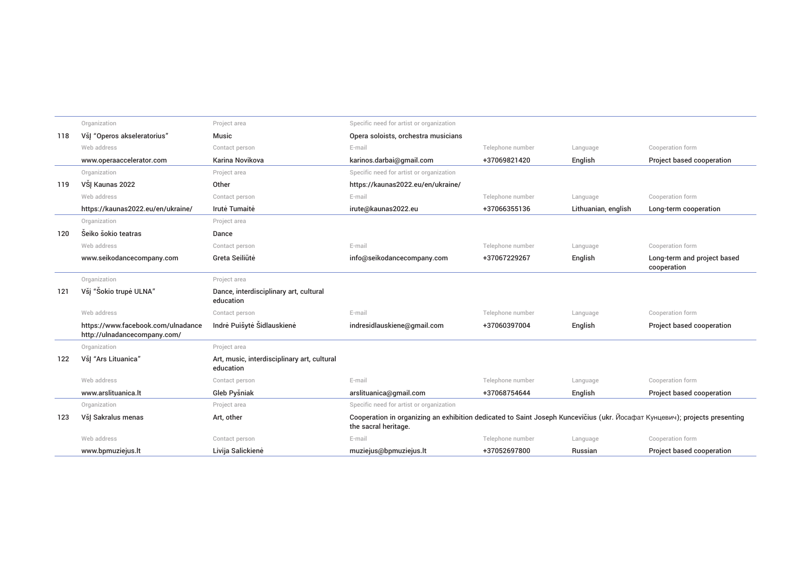|     | Organization                                                       | Project area                                             | Specific need for artist or organization                                                                                                           |                  |                     |                                            |
|-----|--------------------------------------------------------------------|----------------------------------------------------------|----------------------------------------------------------------------------------------------------------------------------------------------------|------------------|---------------------|--------------------------------------------|
| 118 | Všļ "Operos akseleratorius"                                        | Music                                                    | Opera soloists, orchestra musicians                                                                                                                |                  |                     |                                            |
|     | Web address                                                        | Contact person                                           | E-mail                                                                                                                                             | Telephone number | Language            | Cooperation form                           |
|     | www.operaaccelerator.com                                           | Karina Novikova                                          | karinos.darbai@gmail.com                                                                                                                           | +37069821420     | English             | Project based cooperation                  |
|     | Organization                                                       | Project area                                             | Specific need for artist or organization                                                                                                           |                  |                     |                                            |
| 119 | VŠI Kaunas 2022                                                    | Other                                                    | https://kaunas2022.eu/en/ukraine/                                                                                                                  |                  |                     |                                            |
|     | Web address                                                        | Contact person                                           | E-mail                                                                                                                                             | Telephone number | Language            | Cooperation form                           |
|     | https://kaunas2022.eu/en/ukraine/                                  | Irutė Tumaitė                                            | irute@kaunas2022.eu                                                                                                                                | +37066355136     | Lithuanian, english | Long-term cooperation                      |
|     | Organization                                                       | Project area                                             |                                                                                                                                                    |                  |                     |                                            |
| 120 | Šeiko šokio teatras                                                | Dance                                                    |                                                                                                                                                    |                  |                     |                                            |
|     | Web address                                                        | Contact person                                           | E-mail                                                                                                                                             | Telephone number | Language            | Cooperation form                           |
|     | www.seikodancecompany.com                                          | Greta Seiliūtė                                           | info@seikodancecompany.com                                                                                                                         | +37067229267     | English             | Long-term and project based<br>cooperation |
|     | Organization                                                       | Project area                                             |                                                                                                                                                    |                  |                     |                                            |
| 121 | Všj "Šokio trupė ULNA"                                             | Dance, interdisciplinary art, cultural<br>education      |                                                                                                                                                    |                  |                     |                                            |
|     | Web address                                                        | Contact person                                           | E-mail                                                                                                                                             | Telephone number | Language            | Cooperation form                           |
|     | https://www.facebook.com/ulnadance<br>http://ulnadancecompany.com/ | Indrė Puišytė Šidlauskienė                               | indresidlauskiene@gmail.com                                                                                                                        | +37060397004     | English             | Project based cooperation                  |
|     | Organization                                                       | Project area                                             |                                                                                                                                                    |                  |                     |                                            |
| 122 | VšJ "Ars Lituanica"                                                | Art, music, interdisciplinary art, cultural<br>education |                                                                                                                                                    |                  |                     |                                            |
|     | Web address                                                        | Contact person                                           | E-mail                                                                                                                                             | Telephone number | Language            | Cooperation form                           |
|     | www.arslituanica.lt                                                | Gleb Pyšniak                                             | arslituanica@gmail.com                                                                                                                             | +37068754644     | English             | Project based cooperation                  |
|     | Organization                                                       | Project area                                             | Specific need for artist or organization                                                                                                           |                  |                     |                                            |
| 123 | VšJ Sakralus menas                                                 | Art, other                                               | Cooperation in organizing an exhibition dedicated to Saint Joseph Kuncevičius (ukr. Йосафат Кунцевич); projects presenting<br>the sacral heritage. |                  |                     |                                            |
|     | Web address                                                        | Contact person                                           | E-mail                                                                                                                                             | Telephone number | Language            | Cooperation form                           |
|     | www.bpmuziejus.lt                                                  | Livija Salickienė                                        | muziejus@bpmuziejus.lt                                                                                                                             | +37052697800     | Russian             | Project based cooperation                  |